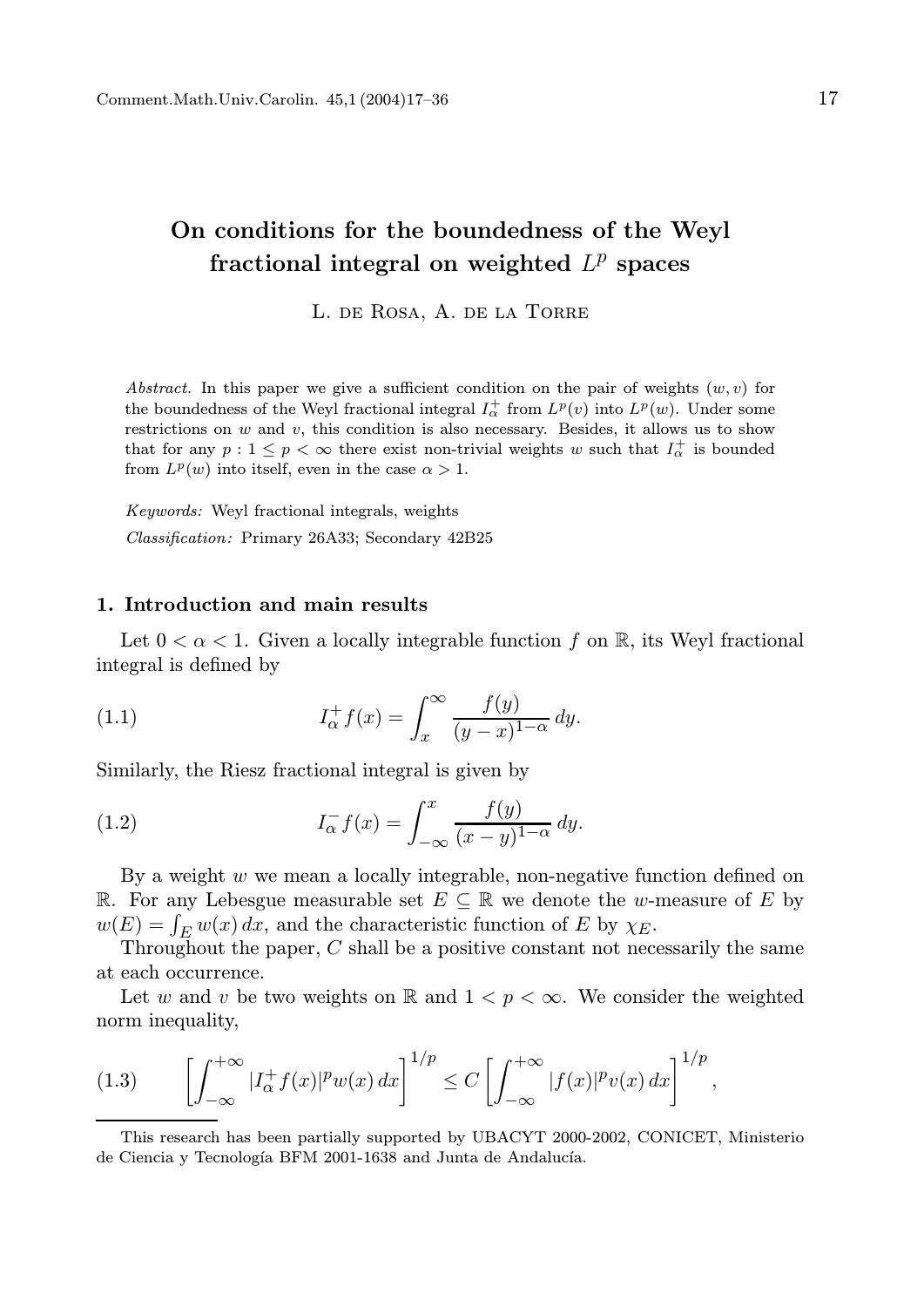# On conditions for the boundedness of the Weyl fractional integral on weighted  $L^p$  spaces

L. de Rosa, A. de la Torre

Abstract. In this paper we give a sufficient condition on the pair of weights  $(w, v)$  for the boundedness of the Weyl fractional integral  $I_{\alpha}^{+}$  from  $L^{p}(v)$  into  $L^{p}(w)$ . Under some restrictions on  $w$  and  $v$ , this condition is also necessary. Besides, it allows us to show that for any  $p: 1 \leq p < \infty$  there exist non-trivial weights w such that  $I_{\alpha}^{+}$  is bounded from  $L^p(w)$  into itself, even in the case  $\alpha > 1$ .

Keywords: Weyl fractional integrals, weights Classification: Primary 26A33; Secondary 42B25

### 1. Introduction and main results

Let  $0 < \alpha < 1$ . Given a locally integrable function f on R, its Weyl fractional integral is defined by

(1.1) 
$$
I_{\alpha}^{+} f(x) = \int_{x}^{\infty} \frac{f(y)}{(y-x)^{1-\alpha}} dy.
$$

Similarly, the Riesz fractional integral is given by

(1.2) 
$$
I_{\alpha}^{-} f(x) = \int_{-\infty}^{x} \frac{f(y)}{(x-y)^{1-\alpha}} dy.
$$

By a weight  $w$  we mean a locally integrable, non-negative function defined on R. For any Lebesgue measurable set  $E \subseteq \mathbb{R}$  we denote the w-measure of E by  $w(E) = \int_E w(x) dx$ , and the characteristic function of E by  $\chi_E$ .

Throughout the paper,  $C$  shall be a positive constant not necessarily the same at each occurrence.

Let w and v be two weights on R and  $1 < p < \infty$ . We consider the weighted norm inequality,

$$
(1.3)\qquad\left[\int_{-\infty}^{+\infty}|I_{\alpha}^+f(x)|^pw(x)\,dx\right]^{1/p}\leq C\left[\int_{-\infty}^{+\infty}|f(x)|^pv(x)\,dx\right]^{1/p},
$$

This research has been partially supported by UBACYT 2000-2002, CONICET, Ministerio de Ciencia y Tecnología BFM 2001-1638 and Junta de Andalucía.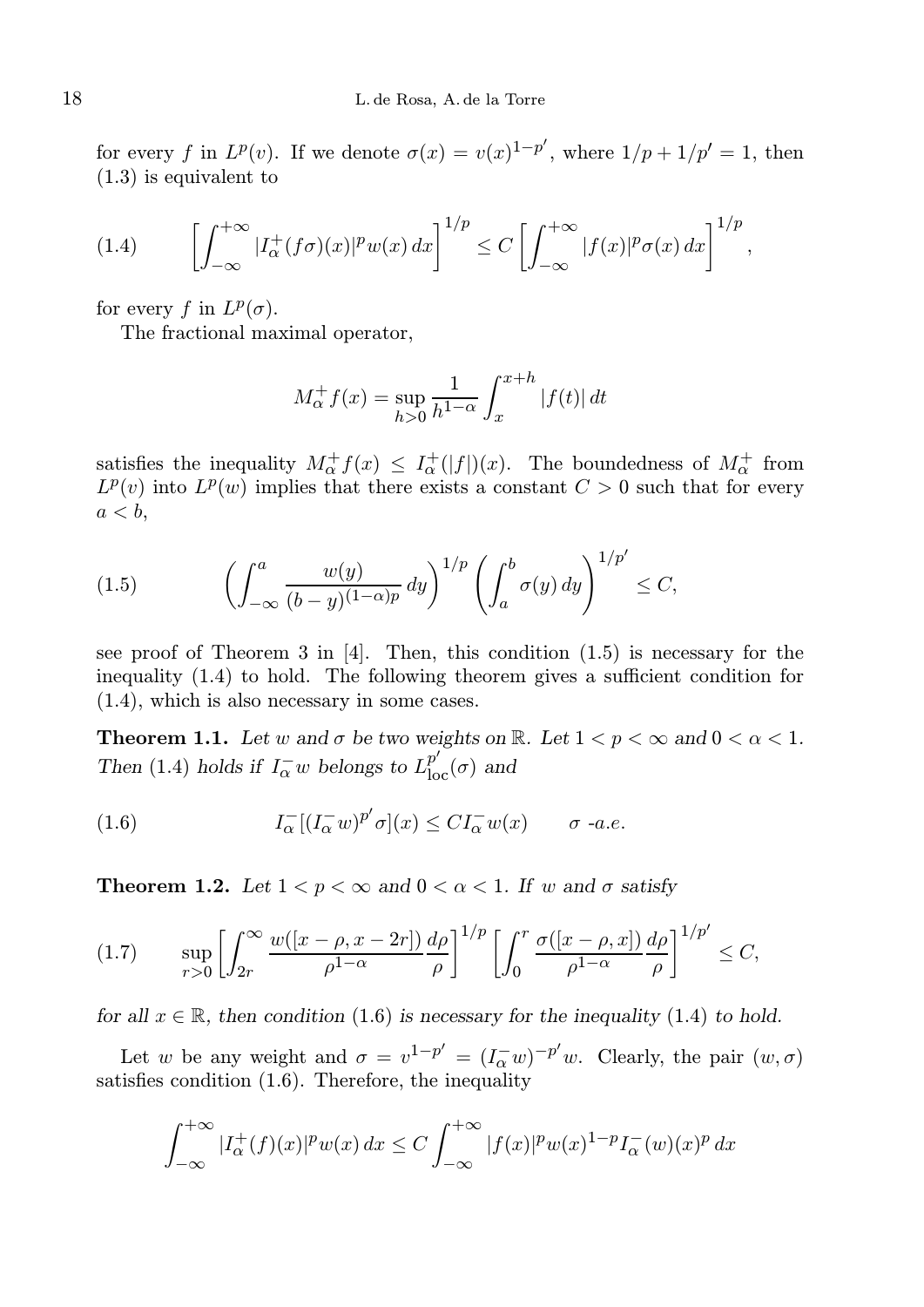for every f in  $L^p(v)$ . If we denote  $\sigma(x) = v(x)^{1-p'}$ , where  $1/p + 1/p' = 1$ , then  $(1.3)$  is equivalent to

$$
(1.4) \qquad \left[ \int_{-\infty}^{+\infty} |I_{\alpha}^{+}(f\sigma)(x)|^{p} w(x) dx \right]^{1/p} \leq C \left[ \int_{-\infty}^{+\infty} |f(x)|^{p} \sigma(x) dx \right]^{1/p},
$$

for every f in  $L^p(\sigma)$ .

The fractional maximal operator,

$$
M_{\alpha}^{+} f(x) = \sup_{h>0} \frac{1}{h^{1-\alpha}} \int_{x}^{x+h} |f(t)| dt
$$

satisfies the inequality  $M^{\dagger}_{\alpha} f(x) \leq I^{\dagger}_{\alpha}(|f|)(x)$ . The boundedness of  $M^{\dagger}_{\alpha}$  from  $L^p(v)$  into  $L^p(w)$  implies that there exists a constant  $C > 0$  such that for every  $a < b$ ,

(1.5) 
$$
\left(\int_{-\infty}^a \frac{w(y)}{(b-y)^{(1-\alpha)p}} dy\right)^{1/p} \left(\int_a^b \sigma(y) dy\right)^{1/p'} \leq C,
$$

see proof of Theorem 3 in [4]. Then, this condition (1.5) is necessary for the inequality (1.4) to hold. The following theorem gives a sufficient condition for (1.4), which is also necessary in some cases.

**Theorem 1.1.** Let w and  $\sigma$  be two weights on  $\mathbb{R}$ . Let  $1 < p < \infty$  and  $0 < \alpha < 1$ . Then (1.4) holds if  $I_{\alpha}^{-}w$  belongs to  $L_{\text{loc}}^{p'}(\sigma)$  and

(1.6) 
$$
I_{\alpha}^{-}[(I_{\alpha}^{-}w)^{p'}\sigma](x) \leq CI_{\alpha}^{-}w(x) \qquad \sigma \text{ -a.e.}
$$

**Theorem 1.2.** Let  $1 < p < \infty$  and  $0 < \alpha < 1$ . If w and  $\sigma$  satisfy

$$
(1.7) \qquad \sup_{r>0} \left[ \int_{2r}^{\infty} \frac{w([x-\rho, x-2r])}{\rho^{1-\alpha}} \frac{d\rho}{\rho} \right]^{1/p} \left[ \int_{0}^{r} \frac{\sigma([x-\rho, x])}{\rho^{1-\alpha}} \frac{d\rho}{\rho} \right]^{1/p'} \leq C,
$$

for all  $x \in \mathbb{R}$ , then condition (1.6) is necessary for the inequality (1.4) to hold.

Let w be any weight and  $\sigma = v^{1-p'} = (I_{\alpha}^{-}w)^{-p'}w$ . Clearly, the pair  $(w, \sigma)$ satisfies condition (1.6). Therefore, the inequality

$$
\int_{-\infty}^{+\infty} |I_{\alpha}^{+}(f)(x)|^{p} w(x) dx \leq C \int_{-\infty}^{+\infty} |f(x)|^{p} w(x)^{1-p} I_{\alpha}^{-}(w)(x)^{p} dx
$$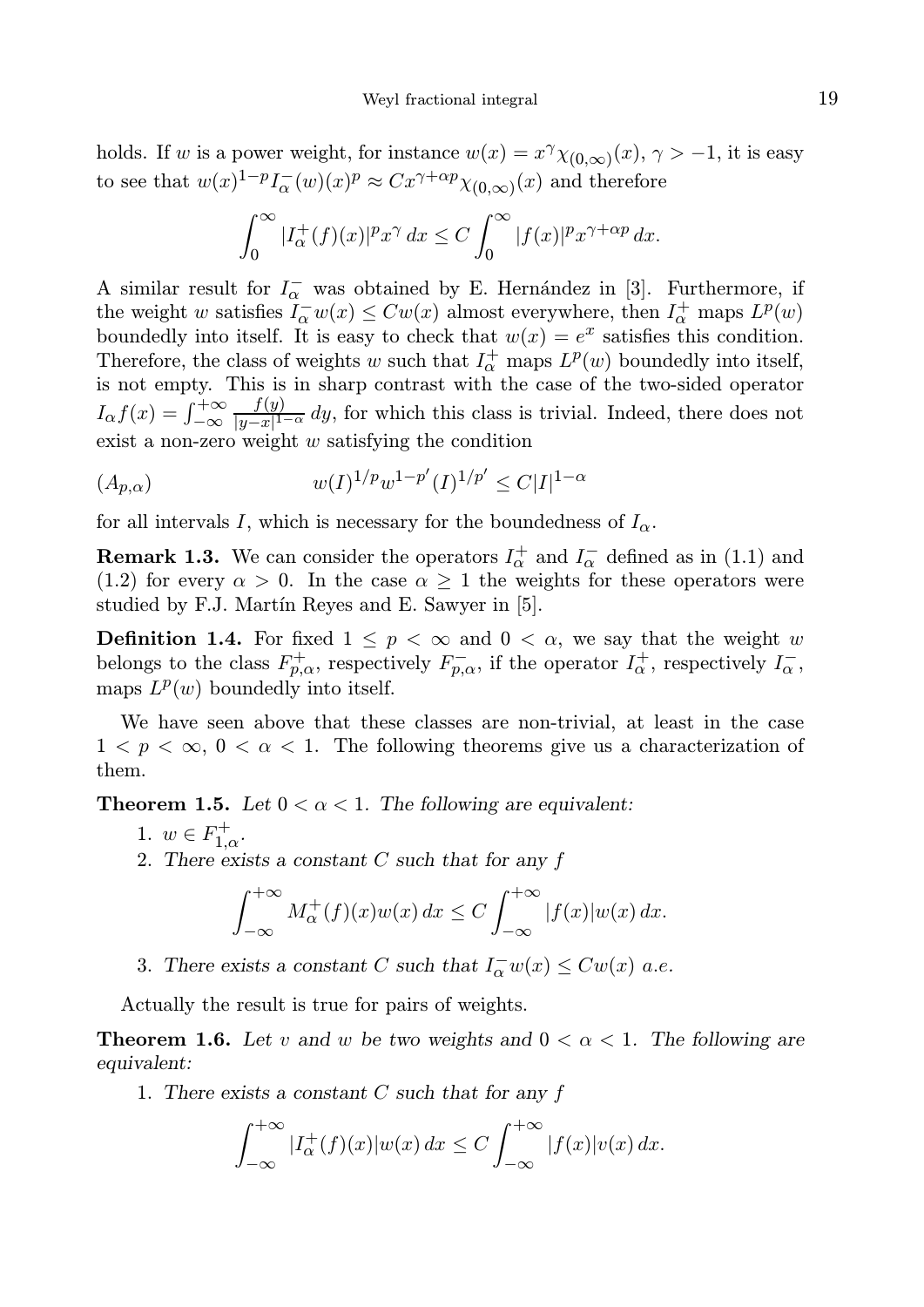holds. If w is a power weight, for instance  $w(x) = x^{\gamma} \chi_{(0,\infty)}(x), \gamma > -1$ , it is easy to see that  $w(x)^{1-p} I_{\alpha}^{-}(w)(x)^p \approx Cx^{\gamma+\alpha p} \chi_{(0,\infty)}(x)$  and therefore

$$
\int_0^\infty |I_\alpha^+(f)(x)|^p x^\gamma dx \le C \int_0^\infty |f(x)|^p x^{\gamma+\alpha p} dx.
$$

A similar result for  $I^-_\alpha$  was obtained by E. Hernández in [3]. Furthermore, if the weight w satisfies  $I_{\alpha}^{-}w(x) \le Cw(x)$  almost everywhere, then  $I_{\alpha}^{+}$  maps  $L^{p}(w)$ boundedly into itself. It is easy to check that  $w(x) = e^x$  satisfies this condition. Therefore, the class of weights w such that  $I_{\alpha}^{+}$  maps  $L^{p}(w)$  boundedly into itself, is not empty. This is in sharp contrast with the case of the two-sided operator  $I_{\alpha}f(x) = \int_{-\infty}^{+\infty}$  $f(y)$  $\frac{f(y)}{|y-x|^{1-\alpha}}$  dy, for which this class is trivial. Indeed, there does not exist a non-zero weight  $w$  satisfying the condition

$$
(A_{p,\alpha}) \t w(I)^{1/p} w^{1-p'}(I)^{1/p'} \le C|I|^{1-\alpha}
$$

for all intervals I, which is necessary for the boundedness of  $I_{\alpha}$ .

**Remark 1.3.** We can consider the operators  $I_{\alpha}^{+}$  and  $I_{\alpha}^{-}$  defined as in (1.1) and (1.2) for every  $\alpha > 0$ . In the case  $\alpha \geq 1$  the weights for these operators were studied by F.J. Martín Reyes and E. Sawyer in [5].

**Definition 1.4.** For fixed  $1 \leq p < \infty$  and  $0 < \alpha$ , we say that the weight w belongs to the class  $F_{p,\alpha}^+$ , respectively  $F_{p,\alpha}^-$ , if the operator  $I_{\alpha}^+$ , respectively  $I_{\alpha}^-$ , maps  $L^p(w)$  boundedly into itself.

We have seen above that these classes are non-trivial, at least in the case  $1 < p < \infty$ ,  $0 < \alpha < 1$ . The following theorems give us a characterization of them.

**Theorem 1.5.** Let  $0 < \alpha < 1$ . The following are equivalent:

- 1.  $w \in F_{1,\alpha}^{+}$ .
- 2. There exists a constant  $C$  such that for any  $f$

$$
\int_{-\infty}^{+\infty} M_{\alpha}^{+}(f)(x)w(x) dx \le C \int_{-\infty}^{+\infty} |f(x)|w(x) dx.
$$

3. There exists a constant C such that  $I_{\alpha}^{-}w(x) \leq Cw(x)$  a.e.

Actually the result is true for pairs of weights.

**Theorem 1.6.** Let v and w be two weights and  $0 < \alpha < 1$ . The following are equivalent:

1. There exists a constant  $C$  such that for any  $f$ 

$$
\int_{-\infty}^{+\infty} |I_{\alpha}^{+}(f)(x)|w(x) dx \leq C \int_{-\infty}^{+\infty} |f(x)|v(x) dx.
$$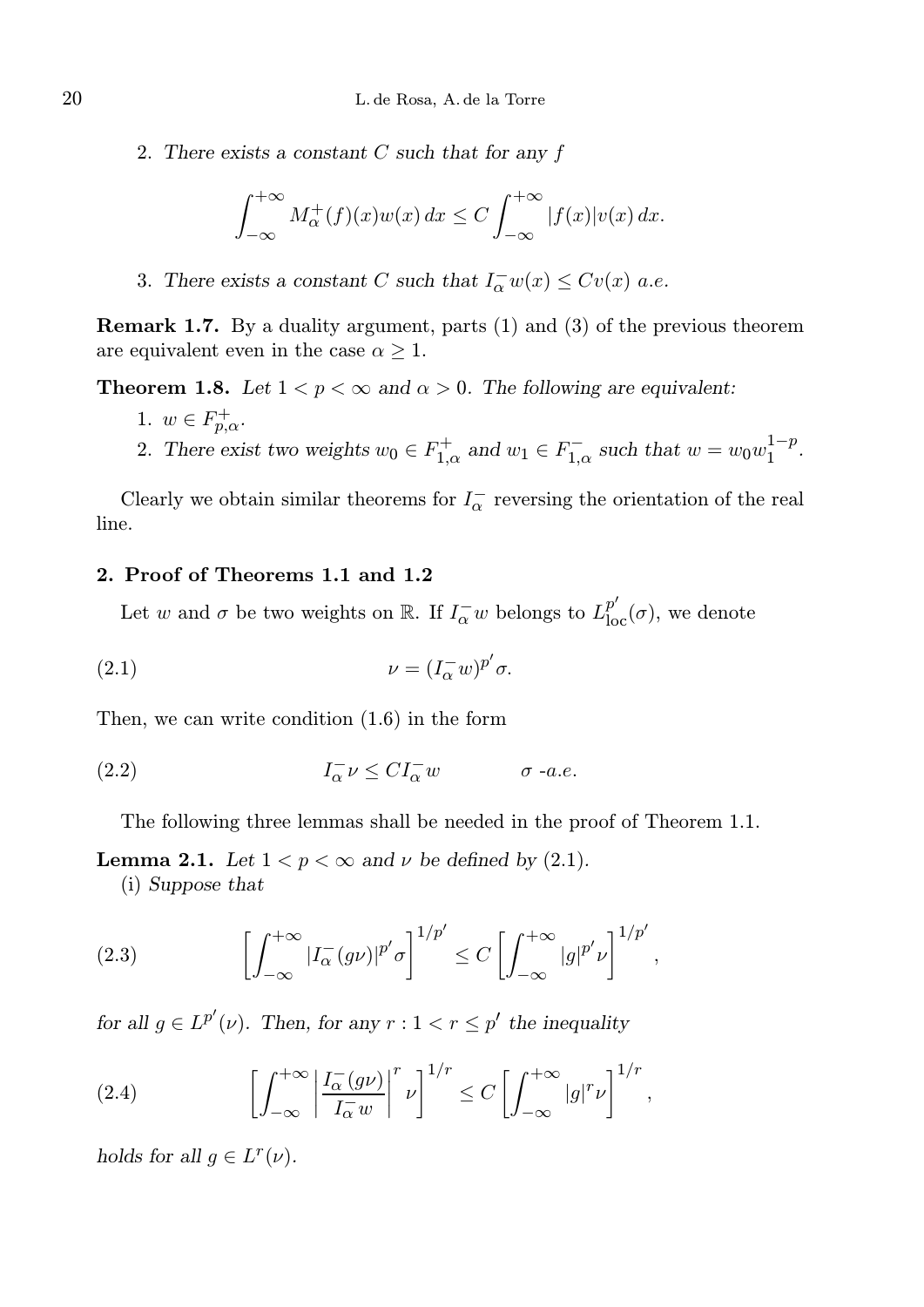2. There exists a constant C such that for any f

$$
\int_{-\infty}^{+\infty} M_{\alpha}^{+}(f)(x)w(x) dx \le C \int_{-\infty}^{+\infty} |f(x)|v(x) dx.
$$

3. There exists a constant C such that  $I_{\alpha}^{-}w(x) \leq Cv(x)$  a.e.

Remark 1.7. By a duality argument, parts (1) and (3) of the previous theorem are equivalent even in the case  $\alpha \geq 1$ .

**Theorem 1.8.** Let  $1 < p < \infty$  and  $\alpha > 0$ . The following are equivalent:

- 1.  $w \in F^+_{p,\alpha}$ .
- 2. There exist two weights  $w_0 \in F_{1,\alpha}^+$  and  $w_1 \in F_{1,\alpha}^-$  such that  $w = w_0 w_1^{1-p}$  $\frac{1-p}{1}$ .

Clearly we obtain similar theorems for  $I^-_\alpha$  reversing the orientation of the real line.

# 2. Proof of Theorems 1.1 and 1.2

Let w and  $\sigma$  be two weights on  $\mathbb{R}$ . If  $I_{\alpha}^-w$  belongs to  $L_{\text{loc}}^{p'}(\sigma)$ , we denote

(2.1) 
$$
\nu = (I_{\alpha}^{-}w)^{p'}\sigma.
$$

Then, we can write condition (1.6) in the form

(2.2) 
$$
I_{\alpha}^{-} \nu \leq C I_{\alpha}^{-} w \qquad \sigma \text{ -a.e.}
$$

The following three lemmas shall be needed in the proof of Theorem 1.1.

**Lemma 2.1.** Let  $1 < p < \infty$  and  $\nu$  be defined by (2.1).

(i) Suppose that

(2.3) 
$$
\left[\int_{-\infty}^{+\infty} |I_{\alpha}^{-}(g\nu)|^{p'}\sigma\right]^{1/p'} \leq C \left[\int_{-\infty}^{+\infty} |g|^{p'}\nu\right]^{1/p'},
$$

for all  $g \in L^{p'}(\nu)$ . Then, for any  $r: 1 < r \leq p'$  the inequality

(2.4) 
$$
\left[\int_{-\infty}^{+\infty} \left|\frac{I_{\alpha}^{-}(g\nu)}{I_{\alpha}^{-}w}\right|^{r} \nu\right]^{1/r} \leq C \left[\int_{-\infty}^{+\infty} |g|^{r} \nu\right]^{1/r},
$$

holds for all  $g \in L^r(\nu)$ .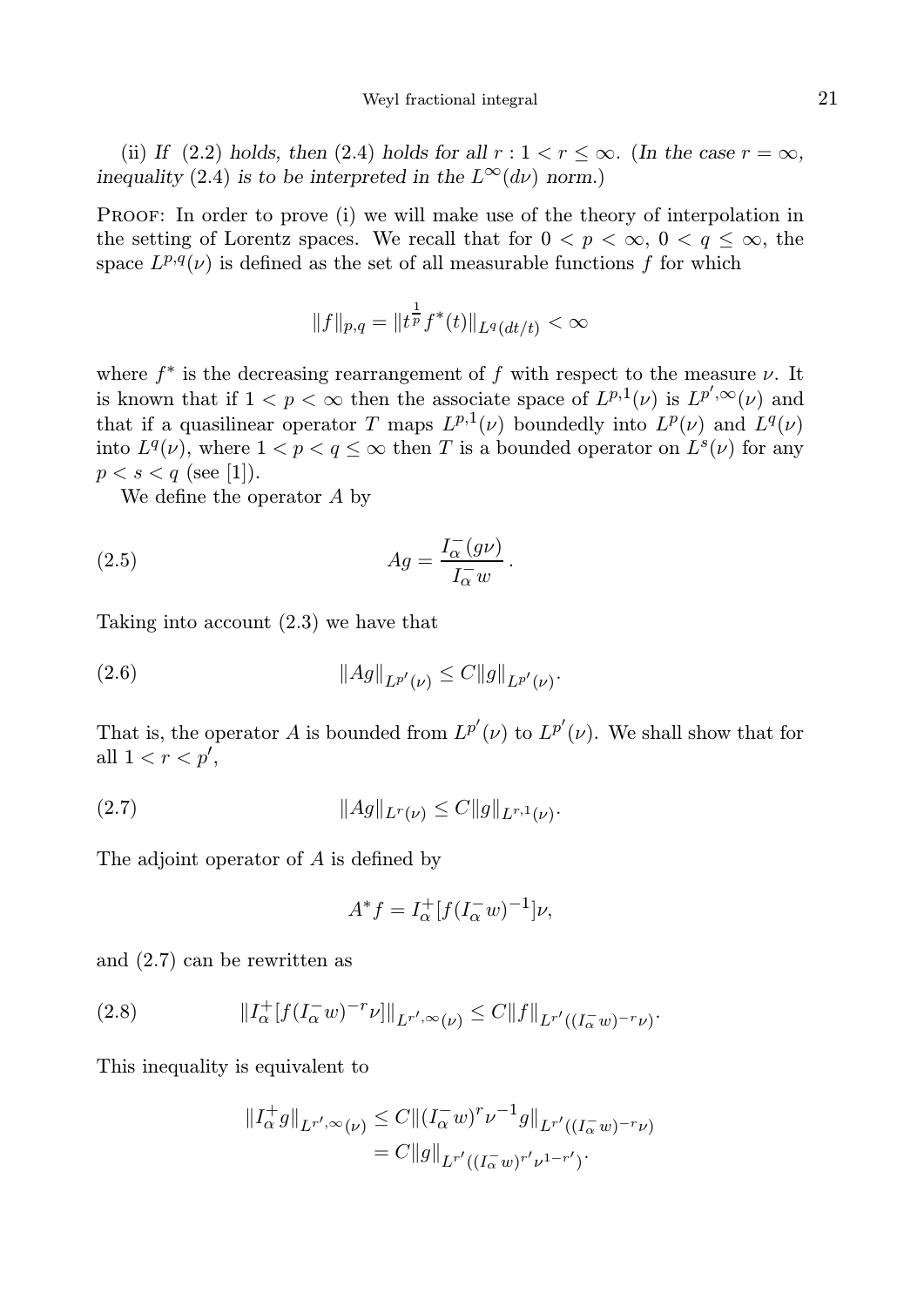(ii) If (2.2) holds, then (2.4) holds for all  $r : 1 < r \leq \infty$ . (In the case  $r = \infty$ , inequality (2.4) is to be interpreted in the  $L^{\infty}(d\nu)$  norm.)

Proof: In order to prove (i) we will make use of the theory of interpolation in the setting of Lorentz spaces. We recall that for  $0 < p < \infty$ ,  $0 < q \leq \infty$ , the space  $L^{p,q}(\nu)$  is defined as the set of all measurable functions f for which

$$
||f||_{p,q} = ||t^{\frac{1}{p}}f^*(t)||_{L^q(dt/t)} < \infty
$$

where  $f^*$  is the decreasing rearrangement of f with respect to the measure  $\nu$ . It is known that if  $1 < p < \infty$  then the associate space of  $L^{p,1}(\nu)$  is  $L^{p',\infty}(\nu)$  and that if a quasilinear operator T maps  $L^{p,1}(\nu)$  boundedly into  $L^p(\nu)$  and  $L^q(\nu)$ into  $L^q(\nu)$ , where  $1 < p < q \leq \infty$  then T is a bounded operator on  $L^s(\nu)$  for any  $p < s < q$  (see [1]).

We define the operator A by

(2.5) 
$$
Ag = \frac{I_{\alpha}^{-}(g\nu)}{I_{\alpha}^{-}w}.
$$

Taking into account (2.3) we have that

(2.6)  $\|Ag\|_{L^{p'}(\nu)} \leq C \|g\|_{L^{p'}(\nu)}.$ 

That is, the operator A is bounded from  $L^{p'}(\nu)$  to  $L^{p'}(\nu)$ . We shall show that for all  $1 < r < p'$ ,

(2.7) 
$$
||Ag||_{L^r(\nu)} \leq C||g||_{L^{r,1}(\nu)}.
$$

The adjoint operator of A is defined by

$$
A^* f = I_\alpha^+ [f(I_\alpha^- w)^{-1}] \nu,
$$

and (2.7) can be rewritten as

(2.8) 
$$
||I_{\alpha}^{+}[f(I_{\alpha}^{-}w)^{-r}\nu]||_{L^{r',\infty}(\nu)} \leq C||f||_{L^{r'}((I_{\alpha}^{-}w)^{-r}\nu)}.
$$

This inequality is equivalent to

$$
\begin{aligned} \|I_{\alpha}^+ g\|_{L^{r',\infty}(\nu)} &\leq C \|(I_{\alpha}^- w)^r \nu^{-1} g\|_{L^{r'}((I_{\alpha}^- w)^{-r} \nu)} \\ &= C \|g\|_{L^{r'}((I_{\alpha}^- w)^{r'} \nu^{1-r'})} .\end{aligned}
$$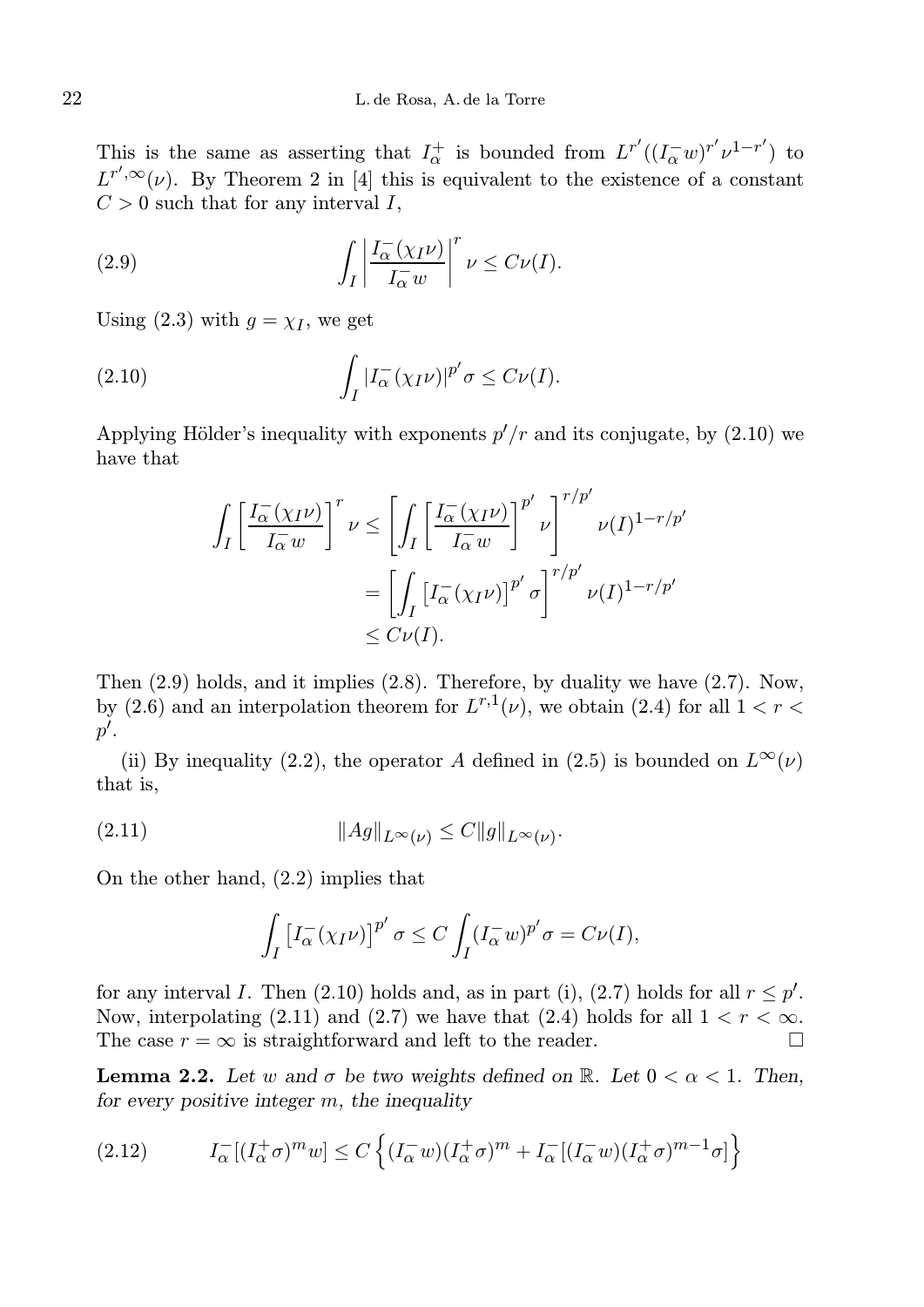This is the same as asserting that  $I_{\alpha}^{+}$  is bounded from  $L^{r'}((I_{\alpha}^{-}w)^{r'}\nu^{1-r'})$  to  $L^{r',\infty}(\nu)$ . By Theorem 2 in [4] this is equivalent to the existence of a constant  $C > 0$  such that for any interval I,

(2.9) 
$$
\int_{I} \left| \frac{I_{\alpha}^{-}(\chi_{I}\nu)}{I_{\alpha}^{-}w} \right|^{r} \nu \leq C \nu(I).
$$

Using (2.3) with  $g = \chi_I$ , we get

(2.10) 
$$
\int_I |I_\alpha(\chi_I \nu)|^{p'} \sigma \leq C \nu(I).
$$

Applying Hölder's inequality with exponents  $p'/r$  and its conjugate, by (2.10) we have that

 $\sqrt{ }$ 

$$
\int_{I} \left[ \frac{I_{\alpha}^{-}(\chi_{I}\nu)}{I_{\alpha}^{-}w} \right]^{r} \nu \leq \left[ \int_{I} \left[ \frac{I_{\alpha}^{-}(\chi_{I}\nu)}{I_{\alpha}^{-}w} \right]^{p'} \nu \right]^{r/p'} \nu(I)^{1-r/p'}
$$

$$
= \left[ \int_{I} \left[ I_{\alpha}^{-}(\chi_{I}\nu) \right]^{p'} \sigma \right]^{r/p'} \nu(I)^{1-r/p'}
$$

$$
\leq C\nu(I).
$$

Then (2.9) holds, and it implies (2.8). Therefore, by duality we have (2.7). Now, by (2.6) and an interpolation theorem for  $L^{r,1}(\nu)$ , we obtain (2.4) for all  $1 < r <$  $p^{\prime}.$ 

(ii) By inequality (2.2), the operator A defined in (2.5) is bounded on  $L^{\infty}(\nu)$ that is,

(2.11) 
$$
||Ag||_{L^{\infty}(\nu)} \leq C ||g||_{L^{\infty}(\nu)}.
$$

On the other hand, (2.2) implies that

$$
\int_I \left[I^-_{\alpha}(\chi_I \nu)\right]^{p'} \sigma \le C \int_I (I^-_{\alpha} w)^{p'} \sigma = C \nu(I),
$$

for any interval I. Then (2.10) holds and, as in part (i), (2.7) holds for all  $r \leq p'$ . Now, interpolating (2.11) and (2.7) we have that (2.4) holds for all  $1 < r < \infty$ . The case  $r = \infty$  is straightforward and left to the reader.

**Lemma 2.2.** Let w and  $\sigma$  be two weights defined on R. Let  $0 < \alpha < 1$ . Then, for every positive integer  $m$ , the inequality

$$
(2.12) \tI_{\alpha}^{-}[(I_{\alpha}^{+}\sigma)^{m}w] \leq C\left\{ (I_{\alpha}^{-}w)(I_{\alpha}^{+}\sigma)^{m} + I_{\alpha}^{-}[(I_{\alpha}^{-}w)(I_{\alpha}^{+}\sigma)^{m-1}\sigma] \right\}
$$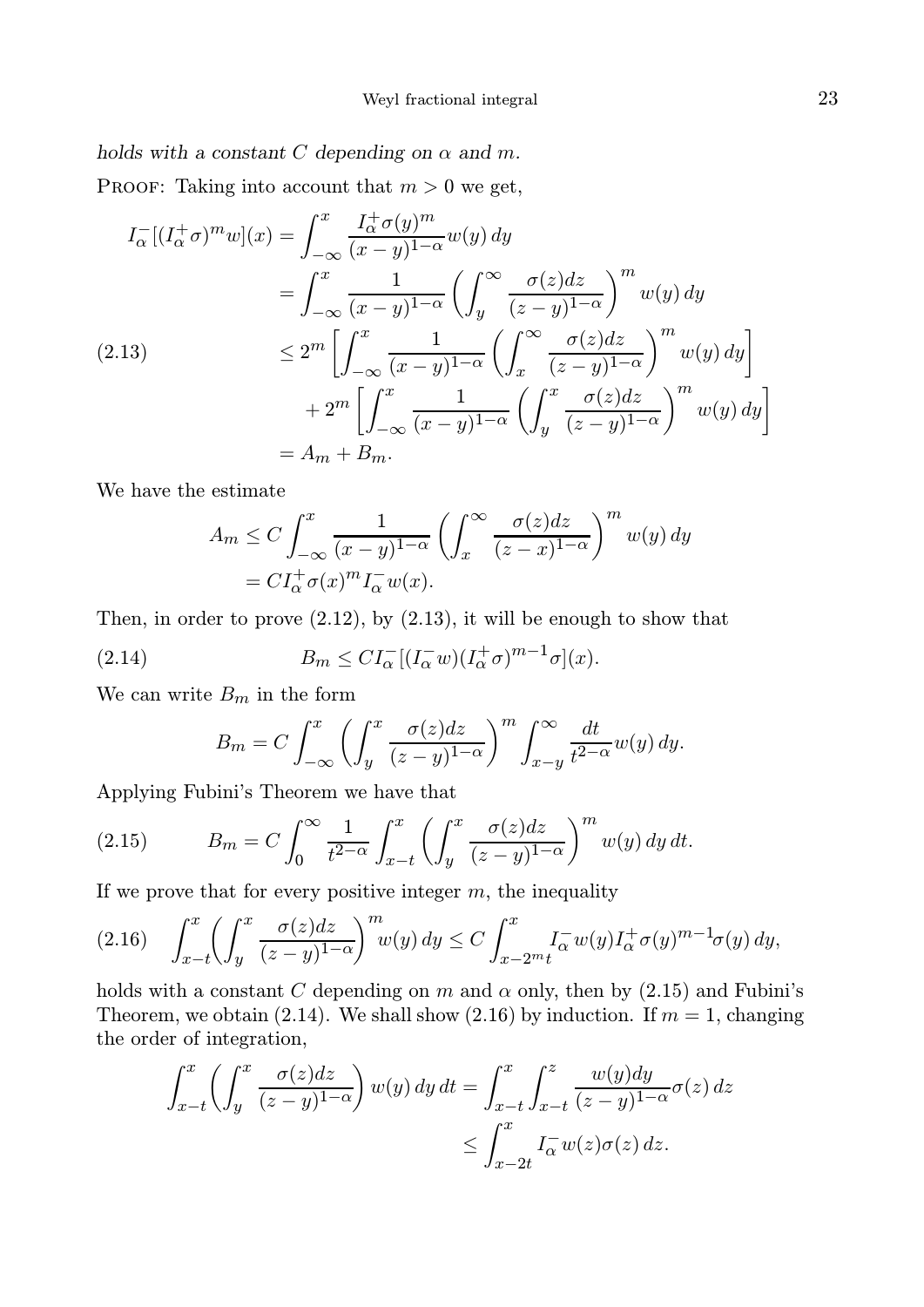# holds with a constant C depending on  $\alpha$  and m.

PROOF: Taking into account that  $m > 0$  we get,

$$
I_{\alpha}^{-}[(I_{\alpha}^{+}\sigma)^{m}w](x) = \int_{-\infty}^{x} \frac{I_{\alpha}^{+}\sigma(y)^{m}}{(x-y)^{1-\alpha}}w(y) dy
$$
  
\n
$$
= \int_{-\infty}^{x} \frac{1}{(x-y)^{1-\alpha}} \left(\int_{y}^{\infty} \frac{\sigma(z) dz}{(z-y)^{1-\alpha}}\right)^{m} w(y) dy
$$
  
\n(2.13)  
\n
$$
\leq 2^{m} \left[\int_{-\infty}^{x} \frac{1}{(x-y)^{1-\alpha}} \left(\int_{x}^{\infty} \frac{\sigma(z) dz}{(z-y)^{1-\alpha}}\right)^{m} w(y) dy\right]
$$
  
\n
$$
+ 2^{m} \left[\int_{-\infty}^{x} \frac{1}{(x-y)^{1-\alpha}} \left(\int_{y}^{x} \frac{\sigma(z) dz}{(z-y)^{1-\alpha}}\right)^{m} w(y) dy\right]
$$
  
\n
$$
= A_{m} + B_{m}.
$$

We have the estimate

$$
A_m \le C \int_{-\infty}^x \frac{1}{(x-y)^{1-\alpha}} \left( \int_x^\infty \frac{\sigma(z)dz}{(z-x)^{1-\alpha}} \right)^m w(y) dy
$$
  
=  $CI_\alpha^+ \sigma(x)^m I_\alpha^- w(x).$ 

Then, in order to prove  $(2.12)$ , by  $(2.13)$ , it will be enough to show that

(2.14) 
$$
B_m \leq CI_{\alpha}^{-} \left[ (I_{\alpha}^{-} w)(I_{\alpha}^{+} \sigma)^{m-1} \sigma \right](x).
$$

We can write  $B_m$  in the form

$$
B_m = C \int_{-\infty}^x \left( \int_y^x \frac{\sigma(z)dz}{(z-y)^{1-\alpha}} \right)^m \int_{x-y}^\infty \frac{dt}{t^{2-\alpha}} w(y) dy.
$$

Applying Fubini's Theorem we have that

(2.15) 
$$
B_m = C \int_0^\infty \frac{1}{t^{2-\alpha}} \int_{x-t}^x \left( \int_y^x \frac{\sigma(z)dz}{(z-y)^{1-\alpha}} \right)^m w(y) dy dt.
$$

If we prove that for every positive integer  $m$ , the inequality

$$
(2.16)\quad \int_{x-t}^{x} \left(\int_{y}^{x} \frac{\sigma(z)dz}{(z-y)^{1-\alpha}}\right)^{m} w(y) \, dy \le C \int_{x-2^m t}^{x} I_{\alpha}^{-} w(y) I_{\alpha}^{+} \sigma(y)^{m-1} \sigma(y) \, dy,
$$

holds with a constant C depending on m and  $\alpha$  only, then by (2.15) and Fubini's Theorem, we obtain (2.14). We shall show (2.16) by induction. If  $m = 1$ , changing the order of integration,

$$
\int_{x-t}^{x} \left( \int_{y}^{x} \frac{\sigma(z)dz}{(z-y)^{1-\alpha}} \right) w(y) dy dt = \int_{x-t}^{x} \int_{x-t}^{z} \frac{w(y)dy}{(z-y)^{1-\alpha}} \sigma(z) dz
$$
  

$$
\leq \int_{x-2t}^{x} I_{\alpha}^{-} w(z) \sigma(z) dz.
$$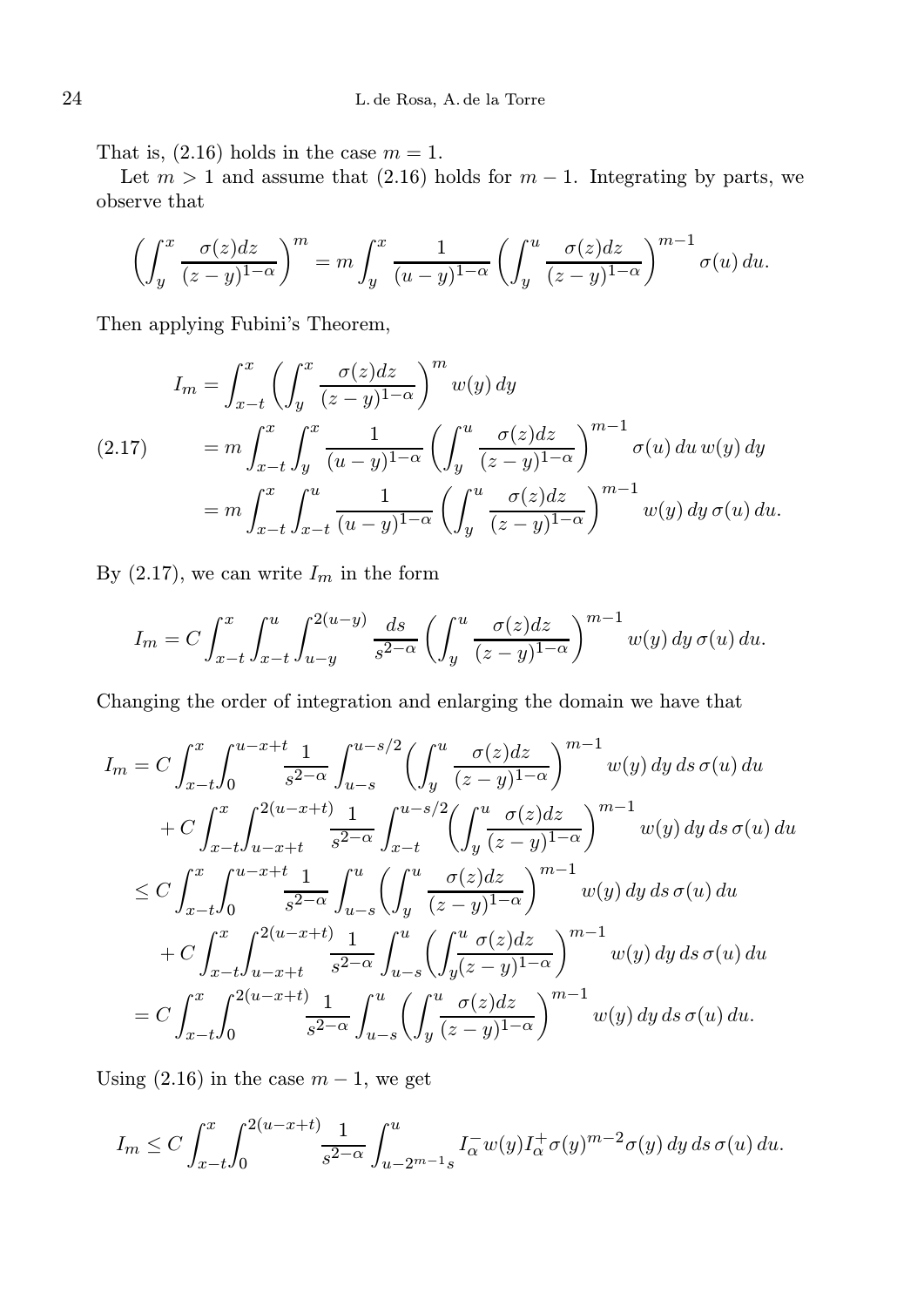That is,  $(2.16)$  holds in the case  $m = 1$ .

Let  $m > 1$  and assume that (2.16) holds for  $m - 1$ . Integrating by parts, we observe that

$$
\left(\int_y^x \frac{\sigma(z)dz}{(z-y)^{1-\alpha}}\right)^m = m \int_y^x \frac{1}{(u-y)^{1-\alpha}} \left(\int_y^u \frac{\sigma(z)dz}{(z-y)^{1-\alpha}}\right)^{m-1} \sigma(u) du.
$$

Then applying Fubini's Theorem,

$$
I_m = \int_{x-t}^x \left( \int_y^x \frac{\sigma(z)dz}{(z-y)^{1-\alpha}} \right)^m w(y) dy
$$
  
(2.17) 
$$
= m \int_{x-t}^x \int_y^x \frac{1}{(u-y)^{1-\alpha}} \left( \int_y^u \frac{\sigma(z)dz}{(z-y)^{1-\alpha}} \right)^{m-1} \sigma(u) du w(y) dy
$$

$$
= m \int_{x-t}^x \int_{x-t}^u \frac{1}{(u-y)^{1-\alpha}} \left( \int_y^u \frac{\sigma(z)dz}{(z-y)^{1-\alpha}} \right)^{m-1} w(y) dy \sigma(u) du.
$$

By  $(2.17)$ , we can write  $I_m$  in the form

$$
I_m = C \int_{x-t}^x \int_{x-t}^u \int_{u-y}^{2(u-y)} \frac{ds}{s^{2-\alpha}} \left( \int_y^u \frac{\sigma(z)dz}{(z-y)^{1-\alpha}} \right)^{m-1} w(y) dy \,\sigma(u) du.
$$

Changing the order of integration and enlarging the domain we have that

$$
I_m = C \int_{x-t}^x \int_0^{u-x+t} \frac{1}{s^{2-\alpha}} \int_{u-s}^{u-s/2} \left( \int_y^u \frac{\sigma(z)dz}{(z-y)^{1-\alpha}} \right)^{m-1} w(y) dy ds \sigma(u) du
$$
  
+  $C \int_{x-t}^x \int_{u-x+t}^{2(u-x+t)} \frac{1}{s^{2-\alpha}} \int_{x-t}^{u-s/2} \left( \int_y^u \frac{\sigma(z)dz}{(z-y)^{1-\alpha}} \right)^{m-1} w(y) dy ds \sigma(u) du$   
 $\leq C \int_{x-t}^x \int_0^{u-x+t} \frac{1}{s^{2-\alpha}} \int_{u-s}^u \left( \int_y^u \frac{\sigma(z)dz}{(z-y)^{1-\alpha}} \right)^{m-1} w(y) dy ds \sigma(u) du$   
+  $C \int_{x-t}^x \int_{u-x+t}^{2(u-x+t)} \frac{1}{s^{2-\alpha}} \int_{u-s}^u \left( \int_y^u \frac{\sigma(z)dz}{(z-y)^{1-\alpha}} \right)^{m-1} w(y) dy ds \sigma(u) du$   
=  $C \int_{x-t}^x \int_0^{2(u-x+t)} \frac{1}{s^{2-\alpha}} \int_{u-s}^u \left( \int_y^u \frac{\sigma(z)dz}{(z-y)^{1-\alpha}} \right)^{m-1} w(y) dy ds \sigma(u) du$ .

Using  $(2.16)$  in the case  $m-1$ , we get

$$
I_m \leq C \int_{x-t}^x \int_0^{2(u-x+t)} \frac{1}{s^{2-\alpha}} \int_{u-2^{m-1}s}^u I_\alpha^{-} w(y) I_\alpha^{+} \sigma(y)^{m-2} \sigma(y) \, dy \, ds \, \sigma(u) \, du.
$$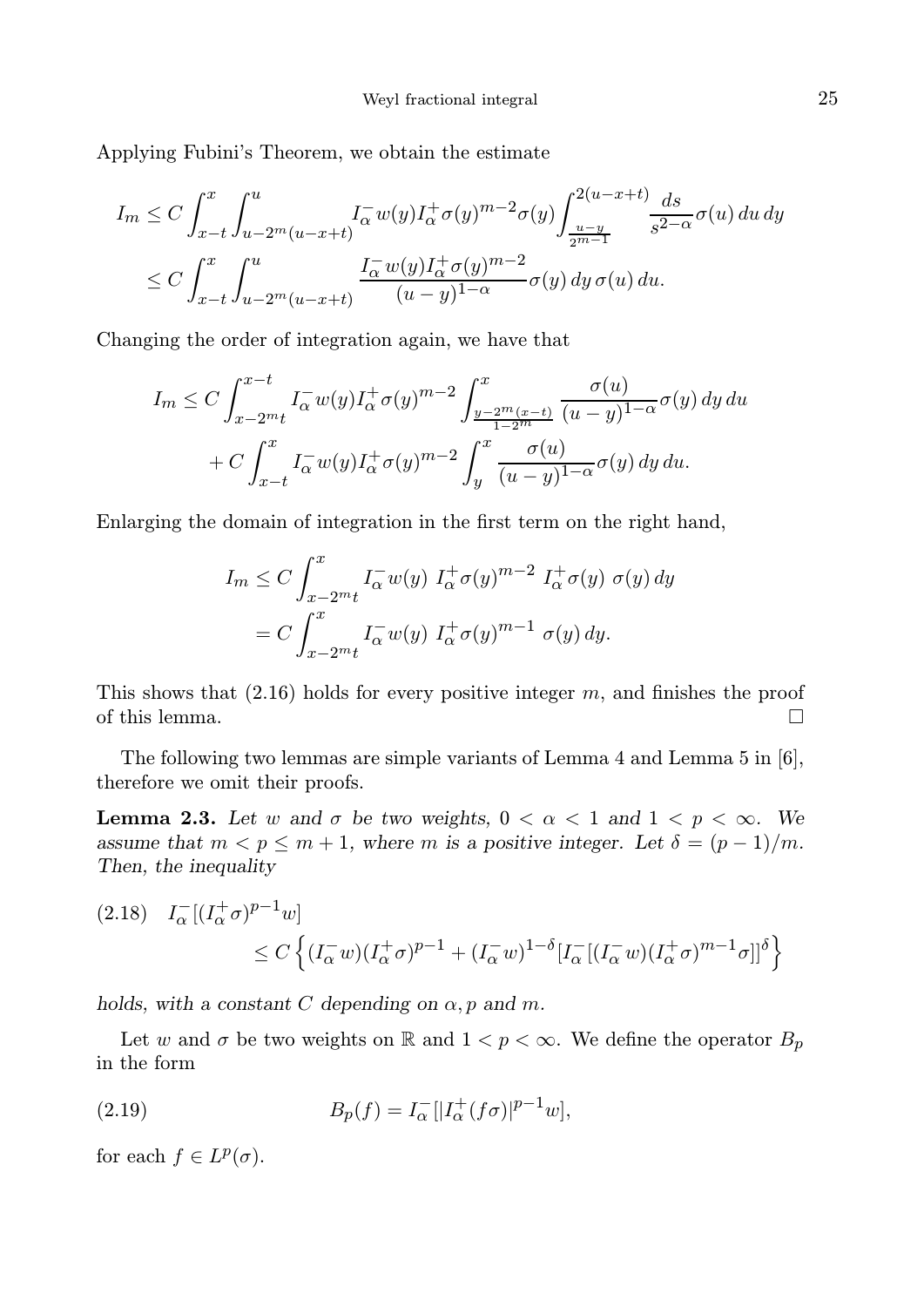Applying Fubini's Theorem, we obtain the estimate

$$
I_m \leq C \int_{x-t}^x \int_{u-2^m(u-x+t)}^u I_\alpha^- w(y) I_\alpha^+ \sigma(y)^{m-2} \sigma(y) \int_{\frac{u-y}{2^{m-1}}}^{\frac{2(u-x+t)}{u-y}} \frac{ds}{s^{2-\alpha}} \sigma(u) du dy
$$
  

$$
\leq C \int_{x-t}^x \int_{u-2^m(u-x+t)}^u \frac{I_\alpha^- w(y) I_\alpha^+ \sigma(y)^{m-2}}{(u-y)^{1-\alpha}} \sigma(y) dy \sigma(u) du.
$$

Changing the order of integration again, we have that

$$
I_m \leq C \int_{x-2^{m}t}^{x-t} I_{\alpha}^{-}w(y)I_{\alpha}^{+}\sigma(y)^{m-2} \int_{\frac{y-2^{m}(x-t)}{1-2^{m}}}^x \frac{\sigma(u)}{(u-y)^{1-\alpha}}\sigma(y) dy du
$$
  
+ 
$$
C \int_{x-t}^{x} I_{\alpha}^{-}w(y)I_{\alpha}^{+}\sigma(y)^{m-2} \int_{y}^{x} \frac{\sigma(u)}{(u-y)^{1-\alpha}}\sigma(y) dy du.
$$

Enlarging the domain of integration in the first term on the right hand,

$$
I_m \leq C \int_{x-2^m t}^x I_\alpha^- w(y) I_\alpha^+ \sigma(y)^{m-2} I_\alpha^+ \sigma(y) \sigma(y) dy
$$
  
= 
$$
C \int_{x-2^m t}^x I_\alpha^- w(y) I_\alpha^+ \sigma(y)^{m-1} \sigma(y) dy.
$$

This shows that  $(2.16)$  holds for every positive integer m, and finishes the proof of this lemma.  $\Box$ 

The following two lemmas are simple variants of Lemma 4 and Lemma 5 in [6], therefore we omit their proofs.

**Lemma 2.3.** Let w and  $\sigma$  be two weights,  $0 < \alpha < 1$  and  $1 < p < \infty$ . We assume that  $m < p \leq m+1$ , where m is a positive integer. Let  $\delta = (p-1)/m$ . Then, the inequality

$$
(2.18) \quad I_{\alpha}^{-}[(I_{\alpha}^{+}\sigma)^{p-1}w] \leq C \left\{ (I_{\alpha}^{-}w)(I_{\alpha}^{+}\sigma)^{p-1} + (I_{\alpha}^{-}w)^{1-\delta}[I_{\alpha}^{-}[(I_{\alpha}^{-}w)(I_{\alpha}^{+}\sigma)^{m-1}\sigma]]^{\delta} \right\}
$$

holds, with a constant C depending on  $\alpha$ , p and m.

Let w and  $\sigma$  be two weights on R and  $1 < p < \infty$ . We define the operator  $B_p$ in the form

(2.19) 
$$
B_p(f) = I_{\alpha}^{-} [|I_{\alpha}^{+}(f\sigma)|^{p-1}w],
$$

for each  $f \in L^p(\sigma)$ .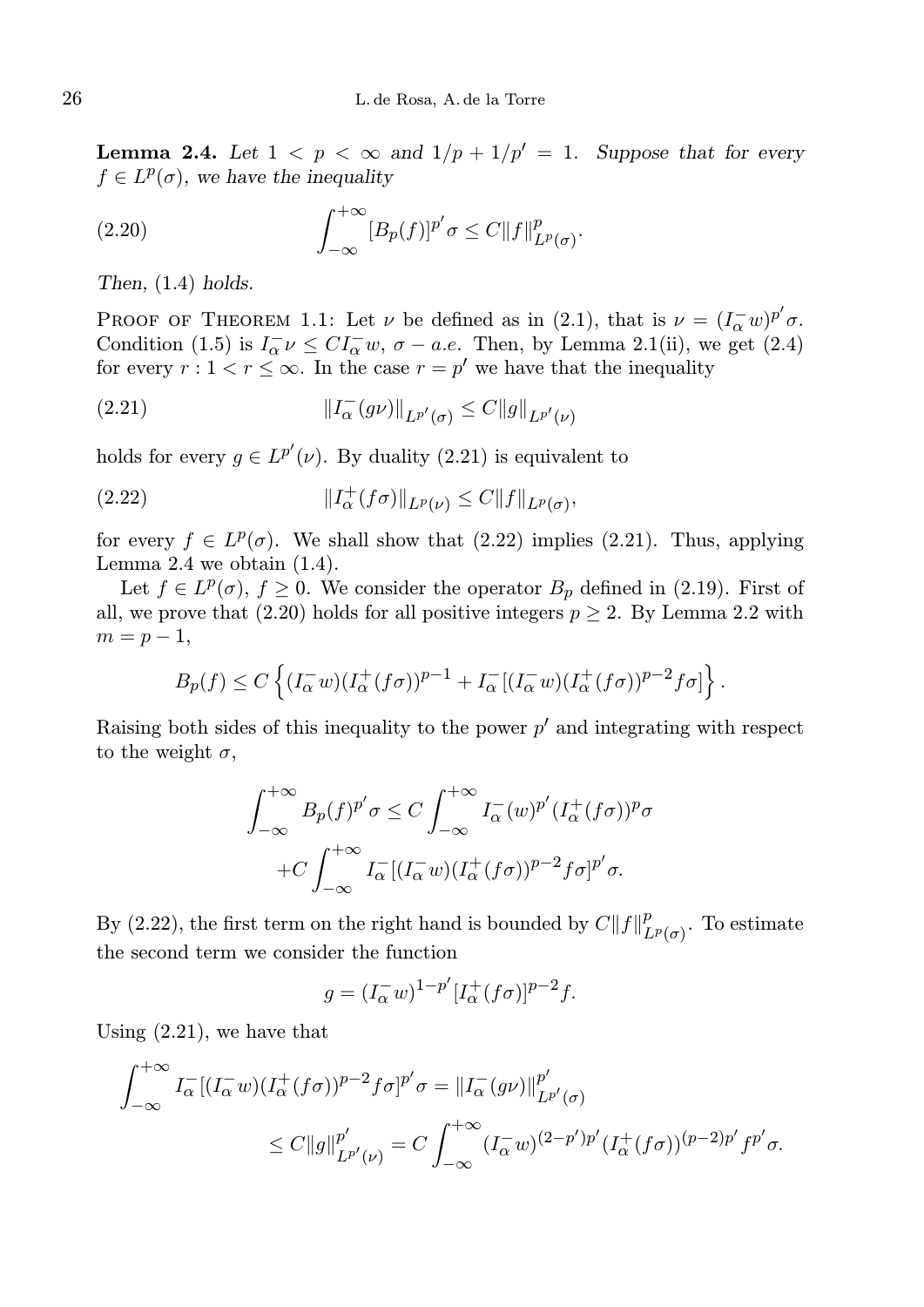**Lemma 2.4.** Let  $1 < p < \infty$  and  $1/p + 1/p' = 1$ . Suppose that for every  $f \in L^p(\sigma)$ , we have the inequality

(2.20) 
$$
\int_{-\infty}^{+\infty} [B_p(f)]^{p'} \sigma \leq C \|f\|_{L^p(\sigma)}^p.
$$

Then,  $(1.4)$  holds.

PROOF OF THEOREM 1.1: Let  $\nu$  be defined as in (2.1), that is  $\nu = (I_{\alpha}^{\dagger}w)^{p'}\sigma$ . Condition (1.5) is  $I_{\alpha}^- \nu \leq C I_{\alpha}^- w$ ,  $\sigma - a.e$ . Then, by Lemma 2.1(ii), we get (2.4) for every  $r: 1 < r \leq \infty$ . In the case  $r = p'$  we have that the inequality

(2.21) 
$$
||I_{\alpha}^-(g\nu)||_{L^{p'}(\sigma)} \leq C||g||_{L^{p'}(\nu)}
$$

holds for every  $g \in L^{p'}(\nu)$ . By duality (2.21) is equivalent to

(2.22) 
$$
||I_{\alpha}^{+}(f\sigma)||_{L^{p}(\nu)} \leq C||f||_{L^{p}(\sigma)},
$$

for every  $f \in L^p(\sigma)$ . We shall show that  $(2.22)$  implies  $(2.21)$ . Thus, applying Lemma 2.4 we obtain  $(1.4)$ .

Let  $f \in L^p(\sigma)$ ,  $f \geq 0$ . We consider the operator  $B_p$  defined in (2.19). First of all, we prove that (2.20) holds for all positive integers  $p \geq 2$ . By Lemma 2.2 with  $m = p - 1,$ 

$$
B_p(f) \leq C \left\{ (I_\alpha^- w)(I_\alpha^+(f\sigma))^{p-1} + I_\alpha^- [(I_\alpha^- w)(I_\alpha^+(f\sigma))^{p-2} f\sigma] \right\}.
$$

Raising both sides of this inequality to the power  $p'$  and integrating with respect to the weight  $\sigma$ ,

$$
\int_{-\infty}^{+\infty} B_p(f)^{p'} \sigma \le C \int_{-\infty}^{+\infty} I_{\alpha}^-(w)^{p'} (I_{\alpha}^+(f\sigma))^p \sigma
$$
  
+
$$
+C \int_{-\infty}^{+\infty} I_{\alpha}^-[ (I_{\alpha}^- w) (I_{\alpha}^+(f\sigma))^{p-2} f\sigma]^{p'} \sigma.
$$

By (2.22), the first term on the right hand is bounded by  $C||f||_I^p$  $L^p(\sigma)$ . To estimate the second term we consider the function

$$
g = (I_{\alpha}^{-} w)^{1-p'} [I_{\alpha}^{+}(f\sigma)]^{p-2} f.
$$

Using (2.21), we have that

$$
\int_{-\infty}^{+\infty} I_{\alpha}^{-}[(I_{\alpha}^{-}w)(I_{\alpha}^{+}(f\sigma))^{p-2}f\sigma]^{p'}\sigma = \|I_{\alpha}^{-}(g\nu)\|_{L^{p'}(\sigma)}^{p'}
$$
  

$$
\leq C\|g\|_{L^{p'}(\nu)}^{p'} = C\int_{-\infty}^{+\infty} (I_{\alpha}^{-}w)^{(2-p')p'}(I_{\alpha}^{+}(f\sigma))^{(p-2)p'}f^{p'}\sigma.
$$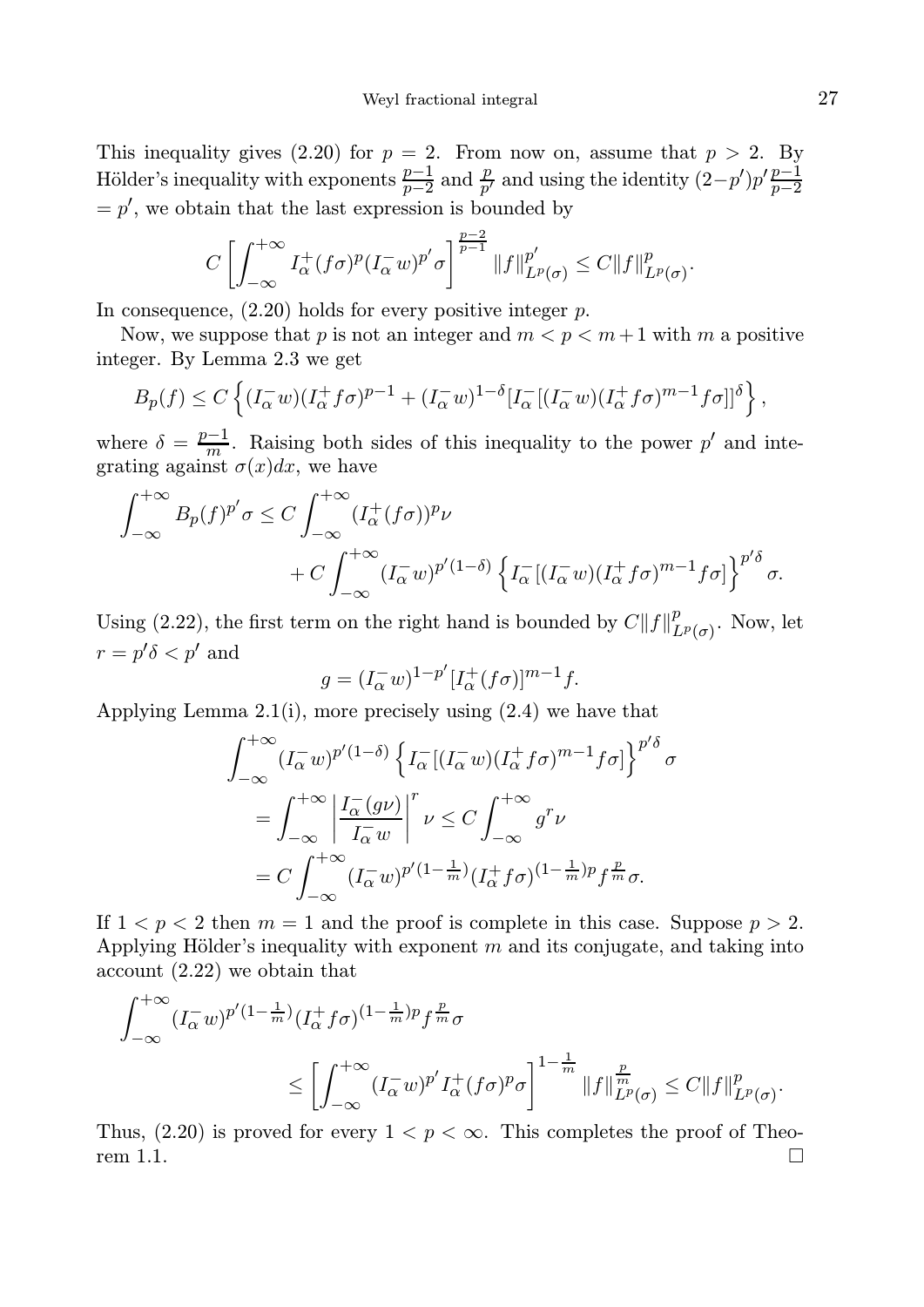This inequality gives (2.20) for  $p = 2$ . From now on, assume that  $p > 2$ . By Hölder's inequality with exponents  $\frac{p-1}{p-2}$  and  $\frac{p}{p'}$  and using the identity  $(2-p')p'\frac{p-1}{p-2}$  $=p'$ , we obtain that the last expression is bounded by

$$
C\left[\int_{-\infty}^{+\infty} I_{\alpha}^{+}(f\sigma)^{p}(I_{\alpha}^{-}w)^{p'}\sigma\right]^{\frac{p-2}{p-1}}\|f\|_{L^{p}(\sigma)}^{p'}\leq C\|f\|_{L^{p}(\sigma)}^{p}.
$$

In consequence,  $(2.20)$  holds for every positive integer  $p$ .

Now, we suppose that p is not an integer and  $m < p < m+1$  with m a positive integer. By Lemma 2.3 we get

$$
B_p(f) \le C \left\{ (I_\alpha^- w)(I_\alpha^+ f \sigma)^{p-1} + (I_\alpha^- w)^{1-\delta} [I_\alpha^- [(I_\alpha^- w)(I_\alpha^+ f \sigma)^{m-1} f \sigma]]^\delta \right\},
$$

where  $\delta = \frac{p-1}{m}$ . Raising both sides of this inequality to the power p' and integrating against  $\sigma(x)dx$ , we have

$$
\int_{-\infty}^{+\infty} B_p(f)^{p'} \sigma \le C \int_{-\infty}^{+\infty} (I_\alpha^+(f\sigma))^{p} \nu + C \int_{-\infty}^{+\infty} (I_\alpha^- w)^{p'} (1-\delta) \left\{ I_\alpha^- [(I_\alpha^- w)(I_\alpha^+ f\sigma)^{m-1} f\sigma] \right\}^{p'\delta} \sigma.
$$

Using (2.22), the first term on the right hand is bounded by  $C||f||_I^p$  $_{L^p(\sigma)}^p$ . Now, let  $r = p'\delta < p'$  and

$$
g = (I_{\alpha}^{-} w)^{1-p'} [I_{\alpha}^{+}(f\sigma)]^{m-1} f.
$$

Applying Lemma 2.1(i), more precisely using (2.4) we have that

$$
\int_{-\infty}^{+\infty} (I_{\alpha}^- w)^{p'(1-\delta)} \left\{ I_{\alpha}^- [(I_{\alpha}^- w)(I_{\alpha}^+ f \sigma)^{m-1} f \sigma] \right\}^{p'\delta} \sigma
$$
  
= 
$$
\int_{-\infty}^{+\infty} \left| \frac{I_{\alpha}^- (g\nu)}{I_{\alpha}^- w} \right|^r \nu \leq C \int_{-\infty}^{+\infty} g^r \nu
$$
  
= 
$$
C \int_{-\infty}^{+\infty} (I_{\alpha}^- w)^{p'(1-\frac{1}{m})} (I_{\alpha}^+ f \sigma)^{(1-\frac{1}{m})p} f^{\frac{p}{m}} \sigma.
$$

If  $1 < p < 2$  then  $m = 1$  and the proof is complete in this case. Suppose  $p > 2$ . Applying Hölder's inequality with exponent  $m$  and its conjugate, and taking into account (2.22) we obtain that

$$
\int_{-\infty}^{+\infty} (I_{\alpha}^- w)^{p'(1-\frac{1}{m})} (I_{\alpha}^+ f \sigma)^{(1-\frac{1}{m})p} f^{\frac{p}{m}} \sigma
$$
  

$$
\leq \left[ \int_{-\infty}^{+\infty} (I_{\alpha}^- w)^{p'} I_{\alpha}^+ (f \sigma)^p \sigma \right]^{1-\frac{1}{m}} \|f\|_{L^p(\sigma)}^{\frac{p}{m}} \leq C \|f\|_{L^p(\sigma)}^p.
$$

Thus, (2.20) is proved for every  $1 < p < \infty$ . This completes the proof of Theorem 1.1.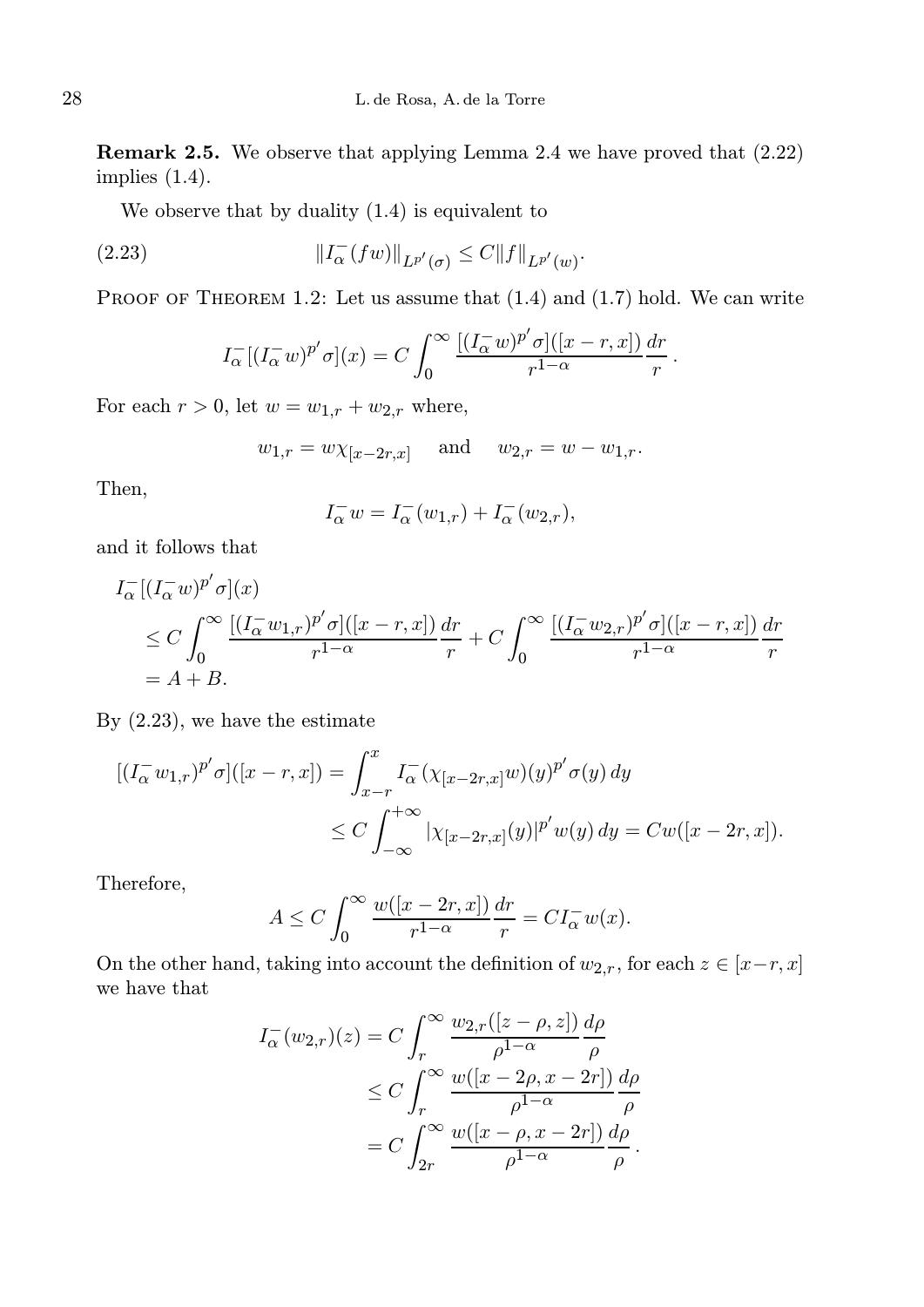Remark 2.5. We observe that applying Lemma 2.4 we have proved that (2.22) implies (1.4).

We observe that by duality (1.4) is equivalent to

(2.23) 
$$
||I_{\alpha}^{-}(fw)||_{L^{p'}(\sigma)} \leq C||f||_{L^{p'}(w)}.
$$

PROOF OF THEOREM 1.2: Let us assume that  $(1.4)$  and  $(1.7)$  hold. We can write

$$
I_{\alpha}^{-}[(I_{\alpha}^{-}w)^{p'}\sigma](x) = C \int_{0}^{\infty} \frac{[(I_{\alpha}^{-}w)^{p'}\sigma]([x-r,x])}{r^{1-\alpha}} \frac{dr}{r}.
$$

For each  $r > 0$ , let  $w = w_{1,r} + w_{2,r}$  where,

$$
w_{1,r} = w \chi_{[x-2r,x]}
$$
 and  $w_{2,r} = w - w_{1,r}$ .

Then,

$$
I_{\alpha}^- w = I_{\alpha}^-(w_{1,r}) + I_{\alpha}^-(w_{2,r}),
$$

and it follows that

$$
I_{\alpha}^{-}[(I_{\alpha}^{-}w)^{p'}\sigma](x)
$$
  
\n
$$
\leq C \int_{0}^{\infty} \frac{[(I_{\alpha}^{-}w_{1,r})^{p'}\sigma][(x-r,x])}{r^{1-\alpha}} \frac{dr}{r} + C \int_{0}^{\infty} \frac{[(I_{\alpha}^{-}w_{2,r})^{p'}\sigma][(x-r,x])}{r^{1-\alpha}} \frac{dr}{r}
$$
  
\n
$$
= A + B.
$$

By (2.23), we have the estimate

$$
[(I_{\alpha}^{-}w_{1,r})^{p'}\sigma]([x-r,x]) = \int_{x-r}^{x} I_{\alpha}^{-}(\chi_{[x-2r,x]}w)(y)^{p'}\sigma(y) dy
$$
  

$$
\leq C \int_{-\infty}^{+\infty} |\chi_{[x-2r,x]}(y)|^{p'}w(y) dy = Cw([x-2r,x]).
$$

Therefore,

$$
A \le C \int_0^\infty \frac{w([x - 2r, x])}{r^{1 - \alpha}} \frac{dr}{r} = C I_\alpha^- w(x).
$$

On the other hand, taking into account the definition of  $w_{2,r}$ , for each  $z \in [x-r, x]$ we have that

$$
I_{\alpha}^{-}(w_{2,r})(z) = C \int_{r}^{\infty} \frac{w_{2,r}([z-\rho,z])}{\rho^{1-\alpha}} \frac{d\rho}{\rho}
$$
  
 
$$
\leq C \int_{r}^{\infty} \frac{w([x-2\rho,x-2r])}{\rho^{1-\alpha}} \frac{d\rho}{\rho}
$$
  
 
$$
= C \int_{2r}^{\infty} \frac{w([x-\rho,x-2r])}{\rho^{1-\alpha}} \frac{d\rho}{\rho}.
$$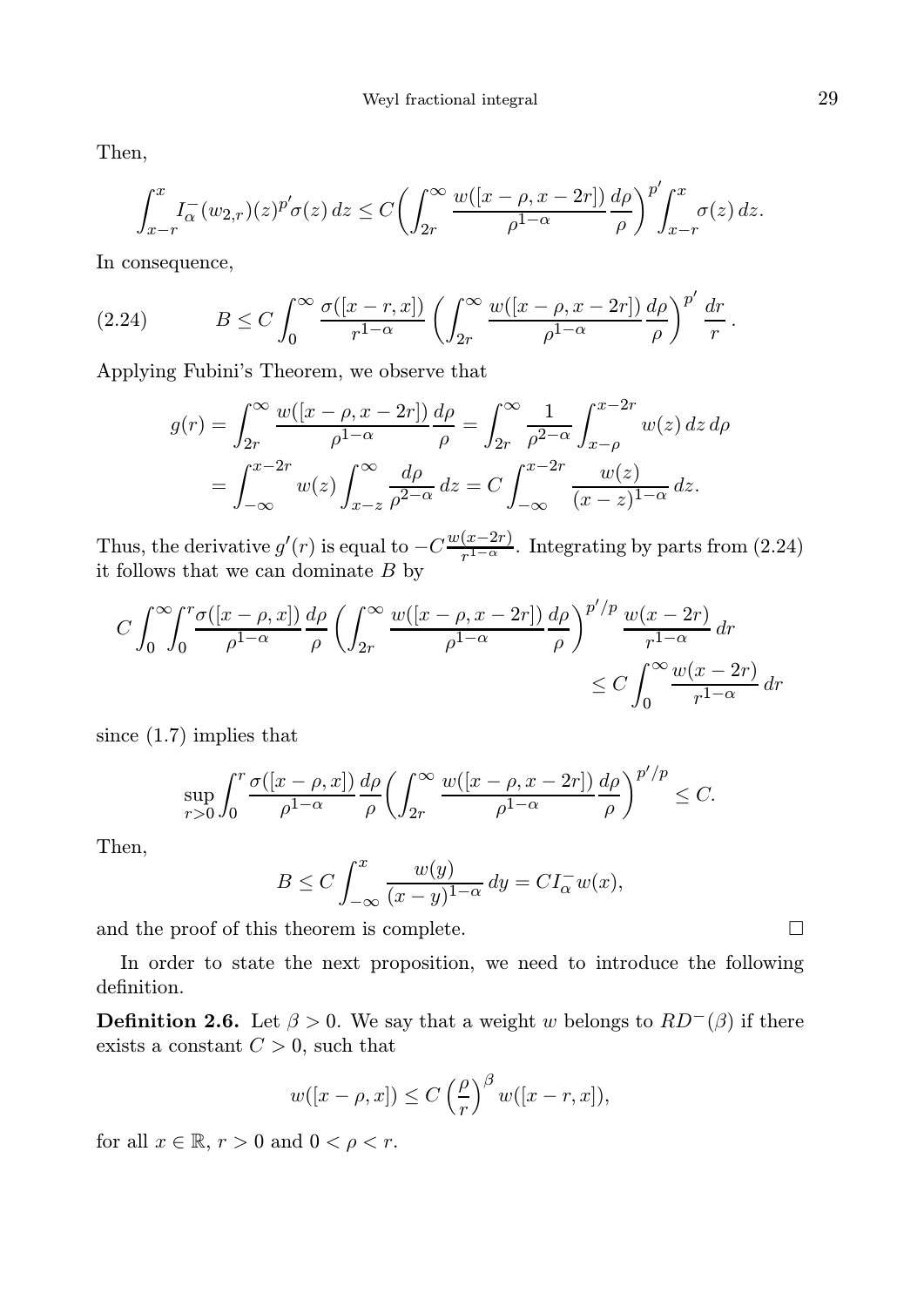Then,

$$
\int_{x-r}^{x} I_{\alpha}^{-}(w_{2,r})(z)^{p'} \sigma(z) dz \le C \left( \int_{2r}^{\infty} \frac{w([x-\rho, x-2r])}{\rho^{1-\alpha}} \frac{d\rho}{\rho} \right)^{p'} \int_{x-r}^{x} \sigma(z) dz.
$$

In consequence,

(2.24) 
$$
B \leq C \int_0^\infty \frac{\sigma([x-r,x])}{r^{1-\alpha}} \left( \int_{2r}^\infty \frac{w([x-\rho,x-2r])}{\rho^{1-\alpha}} \frac{d\rho}{\rho} \right)^{p'} \frac{dr}{r}.
$$

Applying Fubini's Theorem, we observe that

$$
g(r) = \int_{2r}^{\infty} \frac{w([x-\rho, x-2r])}{\rho^{1-\alpha}} \frac{d\rho}{\rho} = \int_{2r}^{\infty} \frac{1}{\rho^{2-\alpha}} \int_{x-\rho}^{x-2r} w(z) dz d\rho
$$

$$
= \int_{-\infty}^{x-2r} w(z) \int_{x-z}^{\infty} \frac{d\rho}{\rho^{2-\alpha}} dz = C \int_{-\infty}^{x-2r} \frac{w(z)}{(x-z)^{1-\alpha}} dz.
$$

Thus, the derivative  $g'(r)$  is equal to  $-C\frac{w(x-2r)}{r^{1-\alpha}}$  $\frac{(x-2r)}{r^{1-\alpha}}$ . Integrating by parts from  $(2.24)$ it follows that we can dominate  $B$  by

$$
C \int_0^\infty \int_0^r \frac{\sigma([x-\rho,x])}{\rho^{1-\alpha}} \frac{d\rho}{\rho} \left( \int_{2r}^\infty \frac{w([x-\rho,x-2r])}{\rho^{1-\alpha}} \frac{d\rho}{\rho} \right)^{p'/p} \frac{w(x-2r)}{r^{1-\alpha}} dr
$$
  

$$
\leq C \int_0^\infty \frac{w(x-2r)}{r^{1-\alpha}} dr
$$

since (1.7) implies that

$$
\sup_{r>0} \int_0^r \frac{\sigma([x-\rho,x])}{\rho^{1-\alpha}} \frac{d\rho}{\rho} \left( \int_{2r}^\infty \frac{w([x-\rho,x-2r])}{\rho^{1-\alpha}} \frac{d\rho}{\rho} \right)^{p'/p} \leq C.
$$

′/p

Then,

$$
B \le C \int_{-\infty}^{x} \frac{w(y)}{(x-y)^{1-\alpha}} dy = CI_{\alpha}^{-} w(x),
$$

and the proof of this theorem is complete.  $\Box$ 

In order to state the next proposition, we need to introduce the following definition.

**Definition 2.6.** Let  $\beta > 0$ . We say that a weight w belongs to  $RD^{-}(\beta)$  if there exists a constant  $C > 0$ , such that

$$
w([x - \rho, x]) \le C \left(\frac{\rho}{r}\right)^{\beta} w([x - r, x]),
$$

for all  $x \in \mathbb{R}$ ,  $r > 0$  and  $0 < \rho < r$ .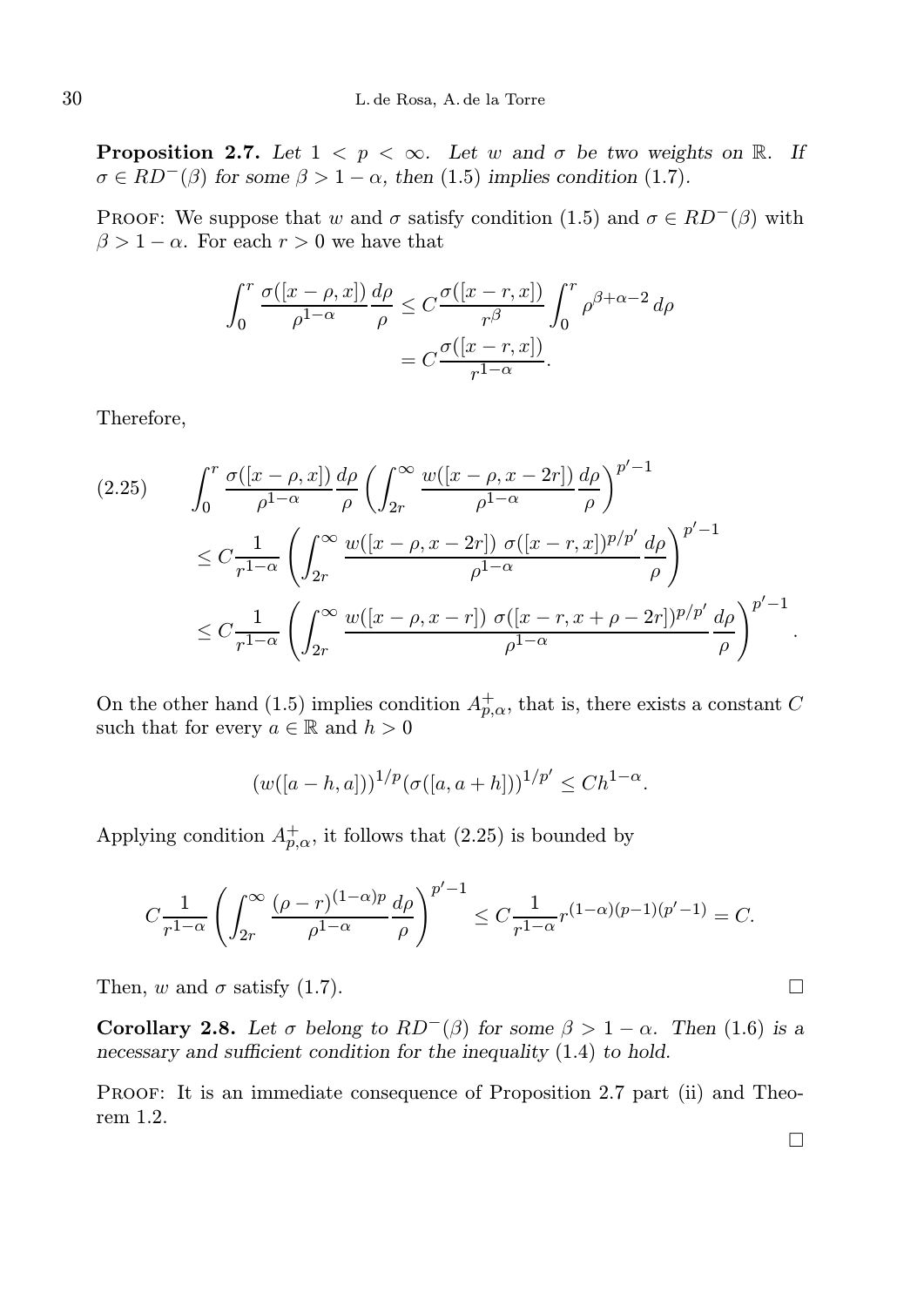**Proposition 2.7.** Let  $1 < p < \infty$ . Let w and  $\sigma$  be two weights on R. If  $\sigma \in RD^{-}(\beta)$  for some  $\beta > 1 - \alpha$ , then (1.5) implies condition (1.7).

PROOF: We suppose that w and  $\sigma$  satisfy condition (1.5) and  $\sigma \in RD^{-}(\beta)$  with  $\beta > 1 - \alpha$ . For each  $r > 0$  we have that

$$
\int_0^r \frac{\sigma([x-\rho,x])}{\rho^{1-\alpha}} \frac{d\rho}{\rho} \le C \frac{\sigma([x-r,x])}{r^{\beta}} \int_0^r \rho^{\beta+\alpha-2} d\rho
$$

$$
= C \frac{\sigma([x-r,x])}{r^{1-\alpha}}.
$$

Therefore,

$$
(2.25) \qquad \int_0^r \frac{\sigma([x-\rho,x])}{\rho^{1-\alpha}} \frac{d\rho}{\rho} \left( \int_{2r}^\infty \frac{w([x-\rho,x-2r])}{\rho^{1-\alpha}} \frac{d\rho}{\rho} \right)^{p'-1}
$$

$$
\leq C \frac{1}{r^{1-\alpha}} \left( \int_{2r}^\infty \frac{w([x-\rho,x-2r])}{\rho^{1-\alpha}} \frac{\sigma([x-r,x])^{p/p'}}{\rho^{1-\alpha}} \frac{d\rho}{\rho} \right)^{p'-1}
$$

$$
\leq C \frac{1}{r^{1-\alpha}} \left( \int_{2r}^\infty \frac{w([x-\rho,x-r])}{\rho^{1-\alpha}} \frac{\sigma([x-r,x+\rho-2r])^{p/p'}}{\rho^{1-\alpha}} \frac{d\rho}{\rho} \right)^{p'-1}.
$$

On the other hand (1.5) implies condition  $A_{p,\alpha}^+$ , that is, there exists a constant C such that for every  $a \in \mathbb{R}$  and  $h > 0$ 

$$
(w([a - h, a]))^{1/p} (\sigma([a, a + h]))^{1/p'} \le C h^{1-\alpha}.
$$

Applying condition  $A_{p,\alpha}^+$ , it follows that (2.25) is bounded by

$$
C\frac{1}{r^{1-\alpha}}\left(\int_{2r}^{\infty}\frac{(\rho-r)^{(1-\alpha)p}}{\rho^{1-\alpha}}\frac{d\rho}{\rho}\right)^{p'-1} \leq C\frac{1}{r^{1-\alpha}}r^{(1-\alpha)(p-1)(p'-1)} = C.
$$

Then, w and  $\sigma$  satisfy (1.7).

Corollary 2.8. Let  $\sigma$  belong to  $RD^{-}(\beta)$  for some  $\beta > 1 - \alpha$ . Then (1.6) is a necessary and sufficient condition for the inequality  $(1.4)$  to hold.

PROOF: It is an immediate consequence of Proposition 2.7 part (ii) and Theorem 1.2.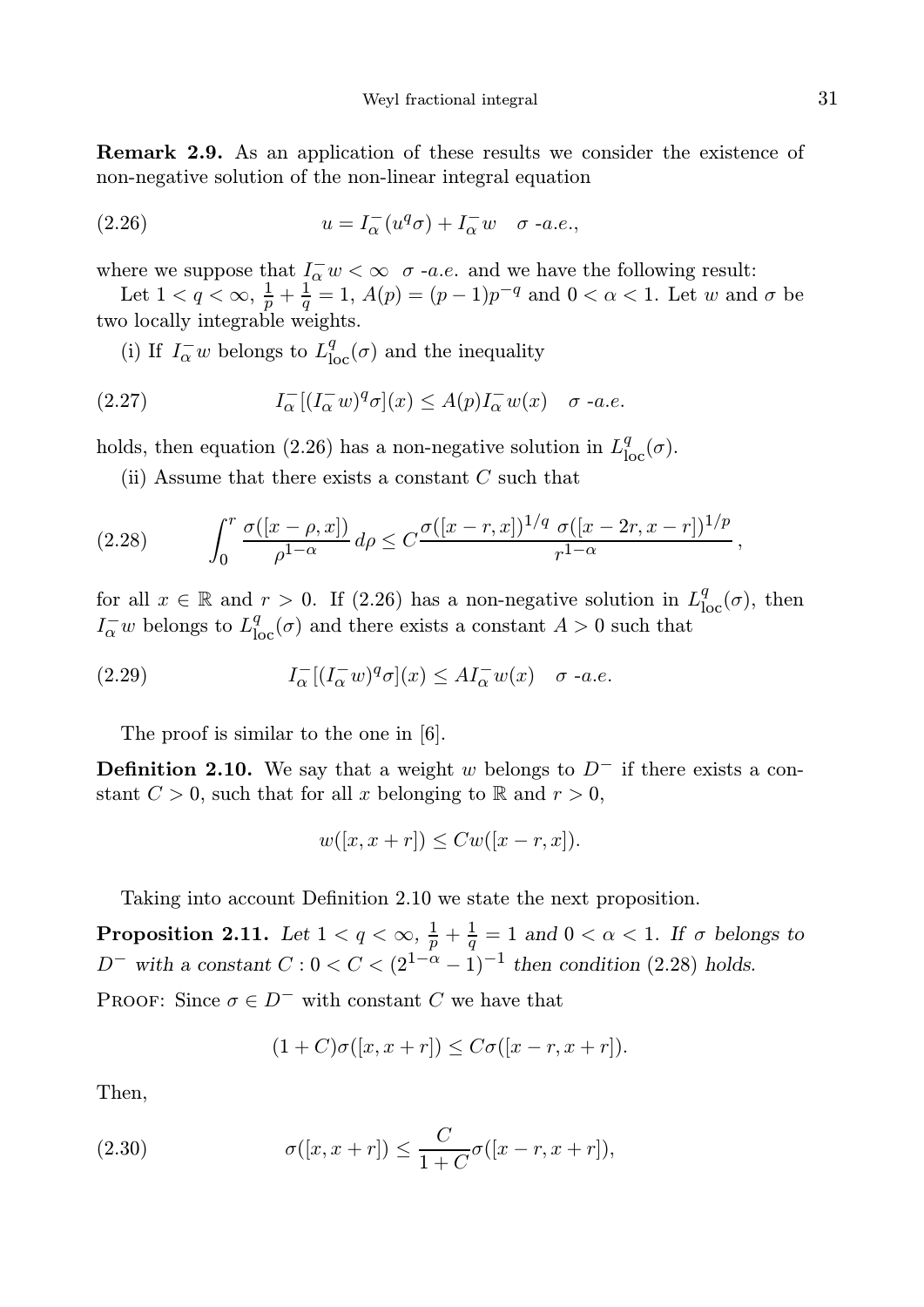Remark 2.9. As an application of these results we consider the existence of non-negative solution of the non-linear integral equation

(2.26) 
$$
u = I_{\alpha}^{-}(u^{q}\sigma) + I_{\alpha}^{-}w \quad \sigma \text{ -a.e.},
$$

where we suppose that  $I_{\alpha}^- w < \infty$   $\sigma$  -a.e. and we have the following result:

Let  $1 < q < \infty$ ,  $\frac{1}{p} + \frac{1}{q} = 1$ ,  $A(p) = (p-1)p^{-q}$  and  $0 < \alpha < 1$ . Let w and  $\sigma$  be two locally integrable weights.

(i) If  $I^-_\alpha w$  belongs to  $L^q_{\text{loc}}(\sigma)$  and the inequality

(2.27) 
$$
I_{\alpha}^{-}[(I_{\alpha}^{-}w)^{q}\sigma](x) \leq A(p)I_{\alpha}^{-}w(x) \quad \sigma \text{ -a.e.}
$$

holds, then equation (2.26) has a non-negative solution in  $L_{\text{loc}}^q(\sigma)$ .

(ii) Assume that there exists a constant  $C$  such that

$$
(2.28) \qquad \int_0^r \frac{\sigma([x-\rho,x])}{\rho^{1-\alpha}} d\rho \le C \frac{\sigma([x-r,x])^{1/q} \sigma([x-2r,x-r])^{1/p}}{r^{1-\alpha}},
$$

for all  $x \in \mathbb{R}$  and  $r > 0$ . If (2.26) has a non-negative solution in  $L^q_{loc}(\sigma)$ , then  $I_{\alpha}^-w$  belongs to  $L^q_{\text{loc}}(\sigma)$  and there exists a constant  $A > 0$  such that

(2.29) 
$$
I_{\alpha}^{-}[(I_{\alpha}^{-}w)^{q}\sigma](x) \leq A I_{\alpha}^{-}w(x) \quad \sigma \text{ -a.e.}
$$

The proof is similar to the one in [6].

**Definition 2.10.** We say that a weight w belongs to  $D^-$  if there exists a constant  $C > 0$ , such that for all x belonging to R and  $r > 0$ ,

$$
w([x, x+r]) \leq Cw([x-r, x]).
$$

Taking into account Definition 2.10 we state the next proposition.

**Proposition 2.11.** Let  $1 < q < \infty$ ,  $\frac{1}{p} + \frac{1}{q} = 1$  and  $0 < \alpha < 1$ . If  $\sigma$  belongs to D<sup>-</sup> with a constant  $C: 0 < C < (2^{1-\alpha}-1)^{-1}$  then condition (2.28) holds.

PROOF: Since  $\sigma \in D^-$  with constant C we have that

$$
(1+C)\sigma([x,x+r]) \leq C\sigma([x-r,x+r]).
$$

Then,

(2.30) 
$$
\sigma([x, x+r]) \leq \frac{C}{1+C} \sigma([x-r, x+r]),
$$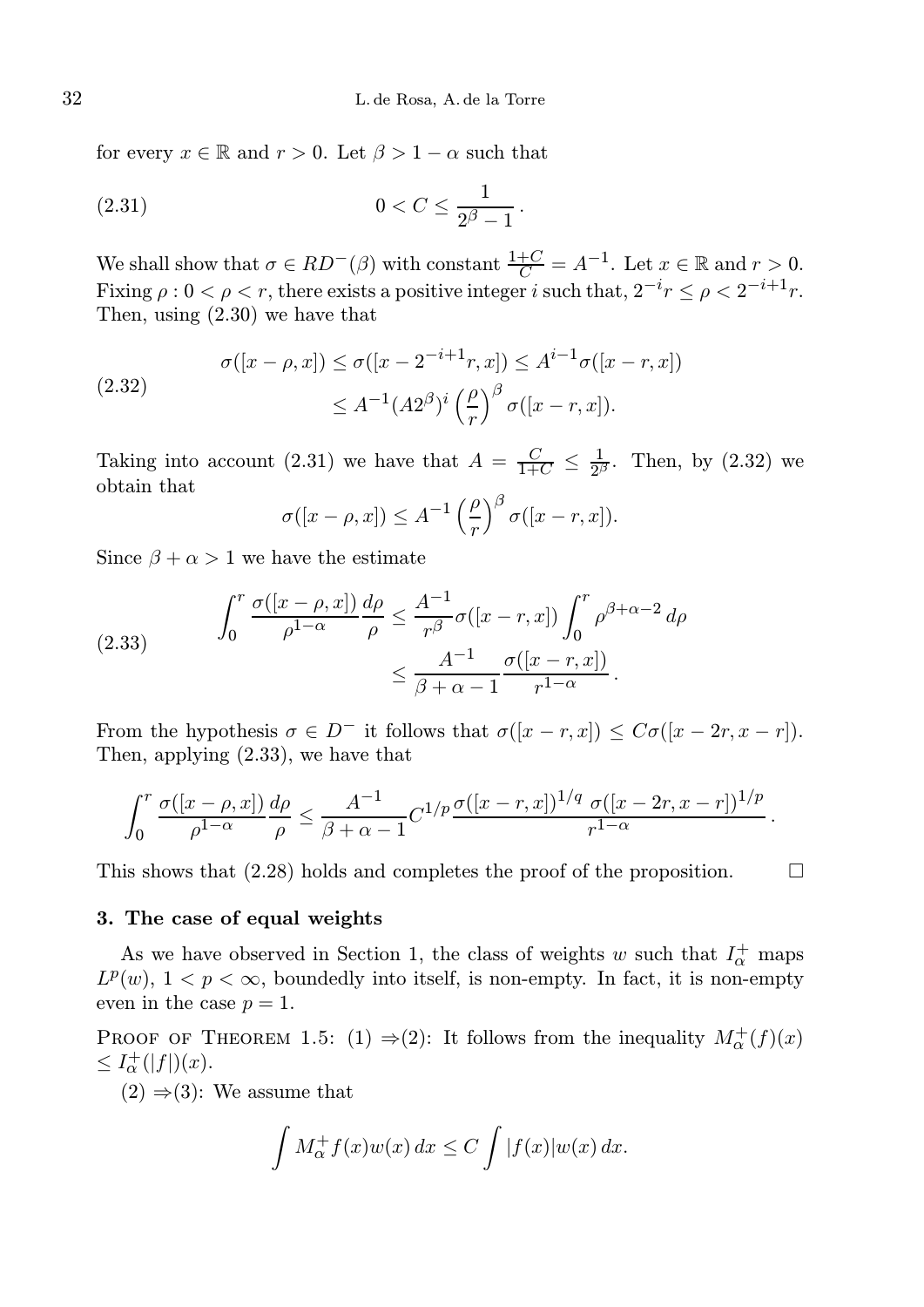for every  $x \in \mathbb{R}$  and  $r > 0$ . Let  $\beta > 1 - \alpha$  such that

(2.31) 
$$
0 < C \le \frac{1}{2^{\beta} - 1}.
$$

We shall show that  $\sigma \in RD^-(\beta)$  with constant  $\frac{1+C}{C} = A^{-1}$ . Let  $x \in \mathbb{R}$  and  $r > 0$ . Fixing  $\rho : 0 < \rho < r$ , there exists a positive integer i such that,  $2^{-i}r \leq \rho < 2^{-i+1}r$ . Then, using (2.30) we have that

(2.32) 
$$
\sigma([x - \rho, x]) \le \sigma([x - 2^{-i+1}r, x]) \le A^{i-1}\sigma([x - r, x]) \le A^{-1}(A2^{\beta})^i \left(\frac{\rho}{r}\right)^{\beta} \sigma([x - r, x]).
$$

Taking into account (2.31) we have that  $A = \frac{C}{1+C} \leq \frac{1}{2^{\beta}}$  $\frac{1}{2^{\beta}}$ . Then, by  $(2.32)$  we obtain that

$$
\sigma([x-\rho,x]) \leq A^{-1} \left(\frac{\rho}{r}\right)^{\beta} \sigma([x-r,x]).
$$

Since  $\beta + \alpha > 1$  we have the estimate

(2.33) 
$$
\int_0^r \frac{\sigma([x-\rho,x])}{\rho^{1-\alpha}} \frac{d\rho}{\rho} \le \frac{A^{-1}}{r^{\beta}} \sigma([x-r,x]) \int_0^r \rho^{\beta+\alpha-2} d\rho
$$

$$
\le \frac{A^{-1}}{\beta+\alpha-1} \frac{\sigma([x-r,x])}{r^{1-\alpha}}.
$$

From the hypothesis  $\sigma \in D^-$  it follows that  $\sigma([x-r,x]) \leq C\sigma([x-2r,x-r])$ . Then, applying (2.33), we have that

$$
\int_0^r \frac{\sigma([x-\rho,x])}{\rho^{1-\alpha}} \frac{d\rho}{\rho} \leq \frac{A^{-1}}{\beta+\alpha-1} C^{1/p} \frac{\sigma([x-r,x])^{1/q} \sigma([x-2r,x-r])^{1/p}}{r^{1-\alpha}}.
$$

This shows that  $(2.28)$  holds and completes the proof of the proposition.

#### 3. The case of equal weights

As we have observed in Section 1, the class of weights w such that  $I_{\alpha}^{+}$  maps  $L^p(w)$ ,  $1 < p < \infty$ , boundedly into itself, is non-empty. In fact, it is non-empty even in the case  $p = 1$ .

PROOF OF THEOREM 1.5: (1)  $\Rightarrow$  (2): It follows from the inequality  $M^+_{\alpha}(f)(x)$  $\leq I_{\alpha}^{+}(|f|)(x).$ 

 $(2) \Rightarrow (3)$ : We assume that

$$
\int M_{\alpha}^+ f(x)w(x) dx \le C \int |f(x)|w(x) dx.
$$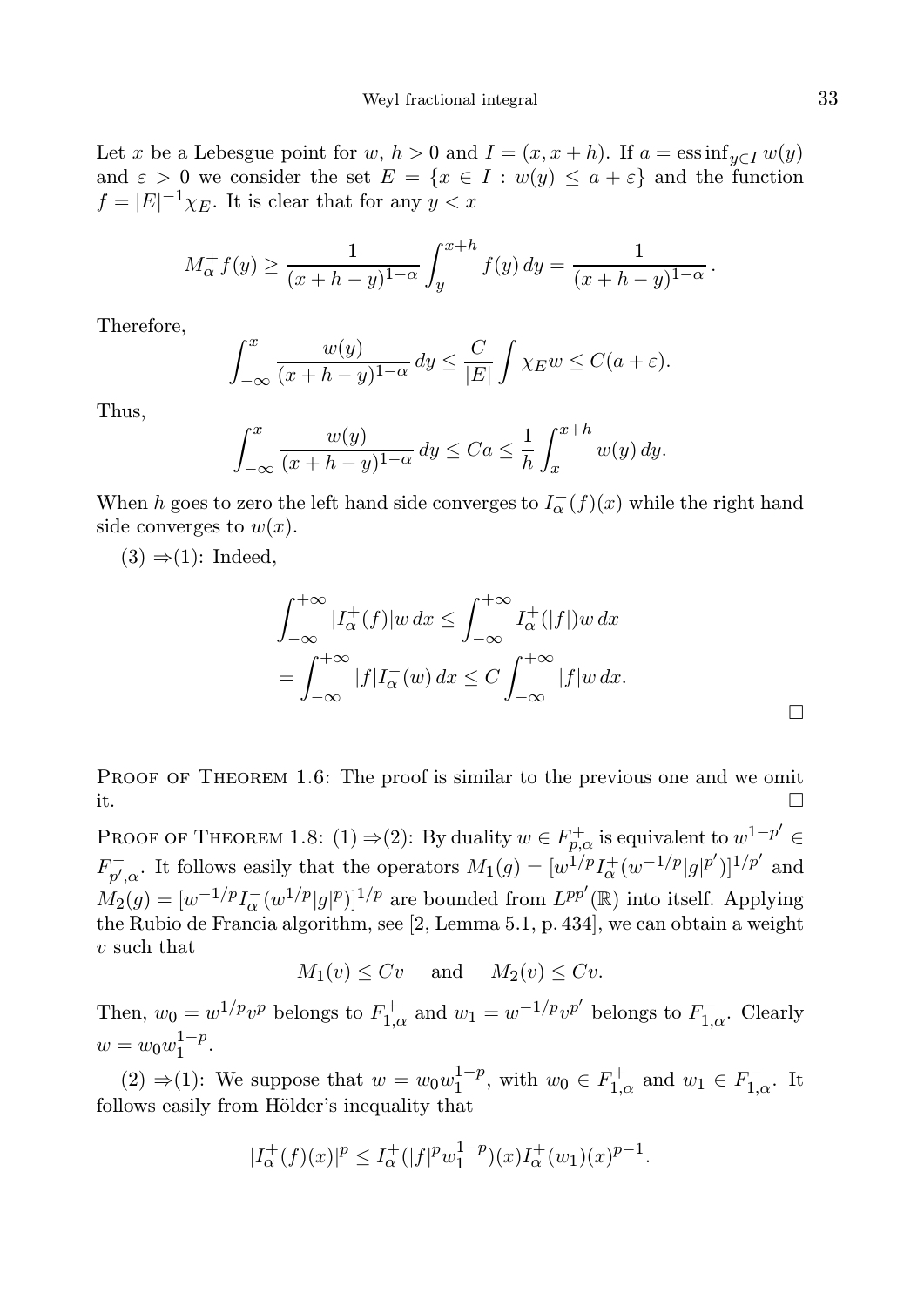Let x be a Lebesgue point for w,  $h > 0$  and  $I = (x, x + h)$ . If  $a = \operatorname{ess\,inf}_{y \in I} w(y)$ and  $\varepsilon > 0$  we consider the set  $E = \{x \in I : w(y) \leq a + \varepsilon\}$  and the function  $f = |E|^{-1} \chi_E$ . It is clear that for any  $y < x$ 

$$
M_{\alpha}^{+} f(y) \ge \frac{1}{(x+h-y)^{1-\alpha}} \int_{y}^{x+h} f(y) dy = \frac{1}{(x+h-y)^{1-\alpha}}.
$$

Therefore,

$$
\int_{-\infty}^{x} \frac{w(y)}{(x+h-y)^{1-\alpha}} dy \le \frac{C}{|E|} \int \chi_E w \le C(a+\varepsilon).
$$

Thus,

$$
\int_{-\infty}^{x} \frac{w(y)}{(x+h-y)^{1-\alpha}} dy \leq C a \leq \frac{1}{h} \int_{x}^{x+h} w(y) dy.
$$

When h goes to zero the left hand side converges to  $I_{\alpha}^{-}(f)(x)$  while the right hand side converges to  $w(x)$ .

 $(3) \Rightarrow (1)$ : Indeed,

$$
\int_{-\infty}^{+\infty} |I_{\alpha}^{+}(f)|w \, dx \le \int_{-\infty}^{+\infty} I_{\alpha}^{+}(|f|)w \, dx
$$

$$
= \int_{-\infty}^{+\infty} |f|I_{\alpha}^{-}(w) \, dx \le C \int_{-\infty}^{+\infty} |f|w \, dx.
$$

PROOF OF THEOREM 1.6: The proof is similar to the previous one and we omit it.

PROOF OF THEOREM 1.8: (1)  $\Rightarrow$  (2): By duality  $w \in F^+_{p,\alpha}$  is equivalent to  $w^{1-p'} \in$  $F_{n'}^ \sum_{p',\alpha}$ . It follows easily that the operators  $M_1(g) = [w^{1/p} I_{\alpha}^+(w^{-1/p} | g |^{p'})]^{1/p'}$  and  $M_2(g) = [w^{-1/p} I_{\alpha}^{-}(w^{1/p} | g |^p)]^{1/p}$  are bounded from  $L^{pp'}(\mathbb{R})$  into itself. Applying the Rubio de Francia algorithm, see [2, Lemma 5.1, p. 434], we can obtain a weight v such that

$$
M_1(v) \le Cv
$$
 and  $M_2(v) \le Cv$ .

Then,  $w_0 = w^{1/p} v^p$  belongs to  $F_{1,\alpha}^+$  and  $w_1 = w^{-1/p} v^{p'}$  belongs to  $F_{1,\alpha}^-$ . Clearly  $w = w_0 w_1^{1-p}$  $1^{-p}$ .

(2) ⇒(1): We suppose that  $w = w_0 w_1^{1-p}$  $_1^{1-p}$ , with  $w_0 \in F_{1,\alpha}^+$  and  $w_1 \in F_{1,\alpha}^-$ . It follows easily from Hölder's inequality that

$$
|I_{\alpha}^{+}(f)(x)|^{p} \leq I_{\alpha}^{+}(|f|^{p}w_{1}^{1-p})(x)I_{\alpha}^{+}(w_{1})(x)^{p-1}.
$$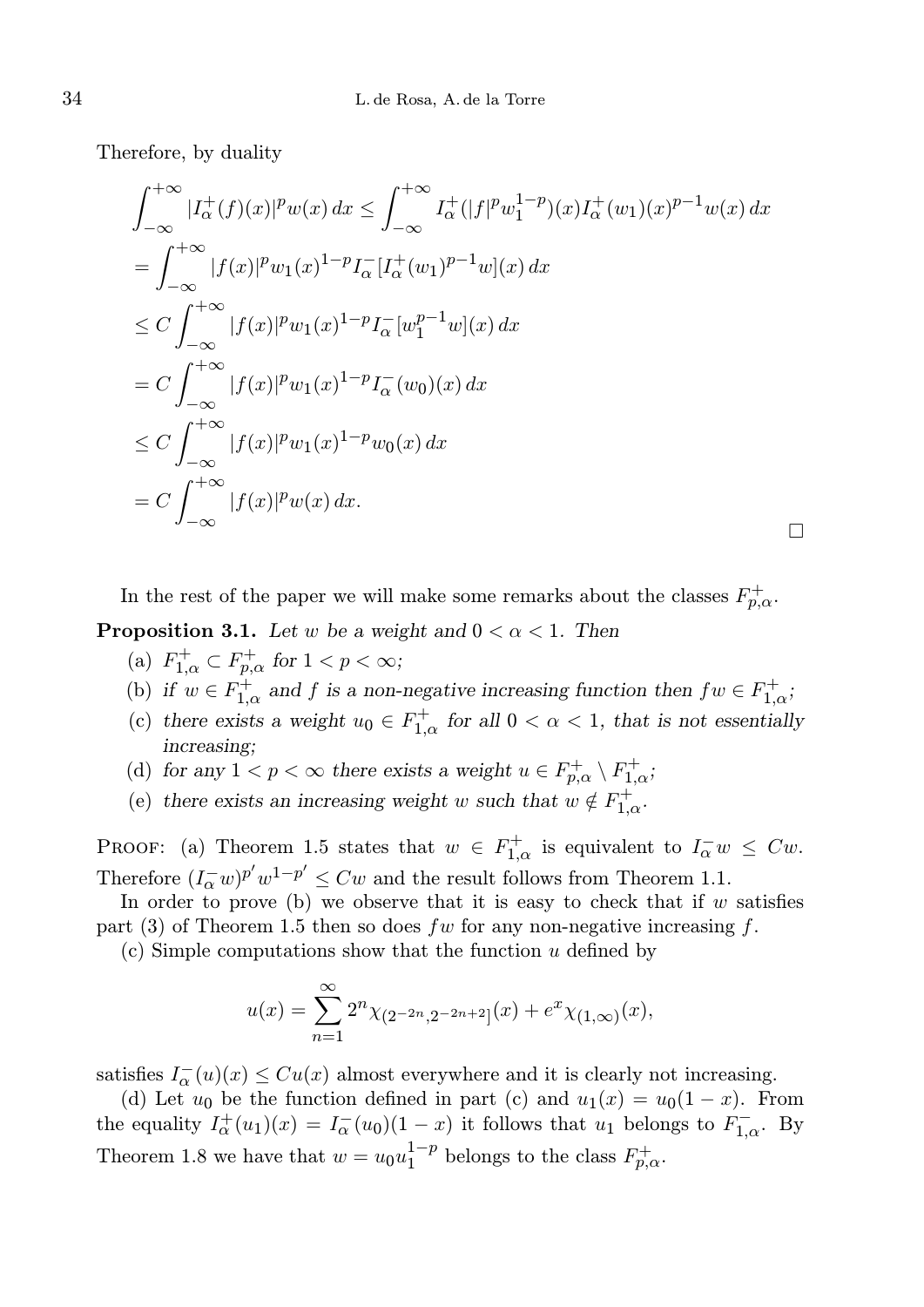Therefore, by duality

$$
\int_{-\infty}^{+\infty} |I_{\alpha}^{+}(f)(x)|^{p} w(x) dx \le \int_{-\infty}^{+\infty} I_{\alpha}^{+}(|f|^{p} w_{1}^{1-p})(x) I_{\alpha}^{+}(w_{1})(x)^{p-1} w(x) dx \n= \int_{-\infty}^{+\infty} |f(x)|^{p} w_{1}(x)^{1-p} I_{\alpha}^{-}[I_{\alpha}^{+}(w_{1})^{p-1} w](x) dx \n\le C \int_{-\infty}^{+\infty} |f(x)|^{p} w_{1}(x)^{1-p} I_{\alpha}^{-}[w_{1}^{p-1} w](x) dx \n= C \int_{-\infty}^{+\infty} |f(x)|^{p} w_{1}(x)^{1-p} I_{\alpha}^{-}(w_{0})(x) dx \n\le C \int_{-\infty}^{+\infty} |f(x)|^{p} w_{1}(x)^{1-p} w_{0}(x) dx \n= C \int_{-\infty}^{+\infty} |f(x)|^{p} w(x) dx.
$$

In the rest of the paper we will make some remarks about the classes  $F_{p,\alpha}^+$ .

**Proposition 3.1.** Let w be a weight and  $0 < \alpha < 1$ . Then

- (a)  $F_{1,\alpha}^+ \subset F_{p,\alpha}^+$  for  $1 < p < \infty$ ;
- (b) if  $w \in F_{1,\alpha}^+$  and f is a non-negative increasing function then  $fw \in F_{1,\alpha}^+$ ;

 $\Box$ 

- (c) there exists a weight  $u_0 \in F_{1,\alpha}^+$  for all  $0 < \alpha < 1$ , that is not essentially increasing;
- (d) for any  $1 < p < \infty$  there exists a weight  $u \in F^+_{p,\alpha} \setminus F^+_{1,\alpha}$ ;
- (e) there exists an increasing weight w such that  $w \notin F_{1,\alpha}^+$ .

PROOF: (a) Theorem 1.5 states that  $w \in F_{1,\alpha}^+$  is equivalent to  $I_{\alpha}^- w \leq Cw$ . Therefore  $(I_{\alpha}^-w)^{p'}w^{1-p'} \leq Cw$  and the result follows from Theorem 1.1.

In order to prove (b) we observe that it is easy to check that if  $w$  satisfies part (3) of Theorem 1.5 then so does fw for any non-negative increasing f.

 $(c)$  Simple computations show that the function u defined by

$$
u(x) = \sum_{n=1}^{\infty} 2^{n} \chi_{(2^{-2n}, 2^{-2n+2}]}(x) + e^x \chi_{(1, \infty)}(x),
$$

satisfies  $I_{\alpha}^{-}(u)(x) \leq Cu(x)$  almost everywhere and it is clearly not increasing.

(d) Let  $u_0$  be the function defined in part (c) and  $u_1(x) = u_0(1-x)$ . From the equality  $I_{\alpha}^{+}(u_1)(x) = I_{\alpha}^{-}(u_0)(1-x)$  it follows that  $u_1$  belongs to  $F_{1,\alpha}^{-}$ . By Theorem 1.8 we have that  $w = u_0 u_1^{1-p}$  $1^{-p}$  belongs to the class  $F_{p,\alpha}^+$ .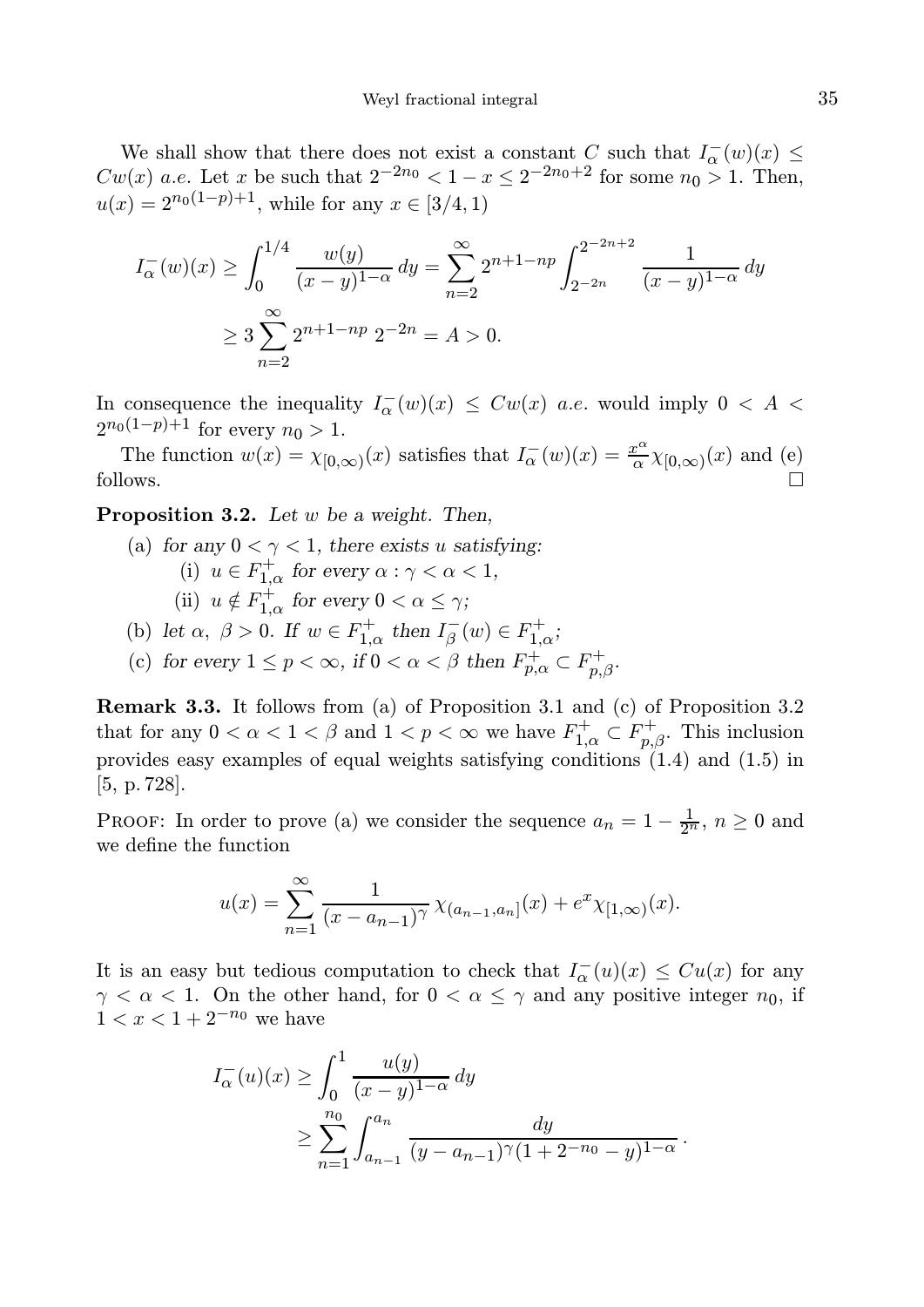We shall show that there does not exist a constant C such that  $I_{\alpha}(w)(x) \leq$  $Cw(x)$  a.e. Let x be such that  $2^{-2n_0} < 1 - x \le 2^{-2n_0+2}$  for some  $n_0 > 1$ . Then,  $u(x) = 2^{n_0(1-p)+1}$ , while for any  $x \in [3/4, 1)$ 

$$
I_{\alpha}^{-}(w)(x) \ge \int_{0}^{1/4} \frac{w(y)}{(x-y)^{1-\alpha}} dy = \sum_{n=2}^{\infty} 2^{n+1-np} \int_{2^{-2n}}^{2^{-2n+2}} \frac{1}{(x-y)^{1-\alpha}} dy
$$
  
 
$$
\ge 3 \sum_{n=2}^{\infty} 2^{n+1-np} 2^{-2n} = A > 0.
$$

In consequence the inequality  $I_{\alpha}^{-}(w)(x) \leq Cw(x)$  a.e. would imply  $0 \leq A$  $2^{n_0(1-p)+1}$  for every  $n_0 > 1$ .

The function  $w(x) = \chi_{[0,\infty)}(x)$  satisfies that  $I_{\alpha}(w)(x) = \frac{x^{\alpha}}{\alpha}$  $\frac{c^{\alpha}}{\alpha} \chi_{[0,\infty)}(x)$  and (e) follows.  $\Box$ 

Proposition 3.2. Let w be a weight. Then,

- (a) for any  $0 < \gamma < 1$ , there exists u satisfying: (i)  $u \in F_{1,\alpha}^+$  for every  $\alpha : \gamma < \alpha < 1$ , (ii)  $u \notin F_{1,\alpha}^+$  for every  $0 < \alpha \leq \gamma$ ;
- (b) let  $\alpha$ ,  $\beta > 0$ . If  $w \in F_{1,\alpha}^+$  then  $I_{\beta}^-(w) \in F_{1,\alpha}^+$ ;
- (c) for every  $1 \le p < \infty$ , if  $0 < \alpha < \beta$  then  $F^+_{p,\alpha} \subset F^+_{p,\beta}$ .

Remark 3.3. It follows from (a) of Proposition 3.1 and (c) of Proposition 3.2 that for any  $0 < \alpha < 1 < \beta$  and  $1 < p < \infty$  we have  $F_{1,\alpha}^+ \subset F_{p,\beta}^+$ . This inclusion provides easy examples of equal weights satisfying conditions (1.4) and (1.5) in [5, p. 728].

PROOF: In order to prove (a) we consider the sequence  $a_n = 1 - \frac{1}{2^n}$ ,  $n \ge 0$  and we define the function

$$
u(x) = \sum_{n=1}^{\infty} \frac{1}{(x - a_{n-1})^{\gamma}} \chi_{(a_{n-1}, a_n]}(x) + e^x \chi_{[1, \infty)}(x).
$$

It is an easy but tedious computation to check that  $I_{\alpha}^{-}(u)(x) \leq Cu(x)$  for any  $\gamma < \alpha < 1$ . On the other hand, for  $0 < \alpha \leq \gamma$  and any positive integer  $n_0$ , if  $1 < x < 1 + 2^{-n_0}$  we have

$$
I_{\alpha}^{-}(u)(x) \geq \int_{0}^{1} \frac{u(y)}{(x-y)^{1-\alpha}} dy
$$
  
 
$$
\geq \sum_{n=1}^{n_0} \int_{a_{n-1}}^{a_n} \frac{dy}{(y-a_{n-1})^{\gamma}(1+2^{-n_0}-y)^{1-\alpha}}.
$$